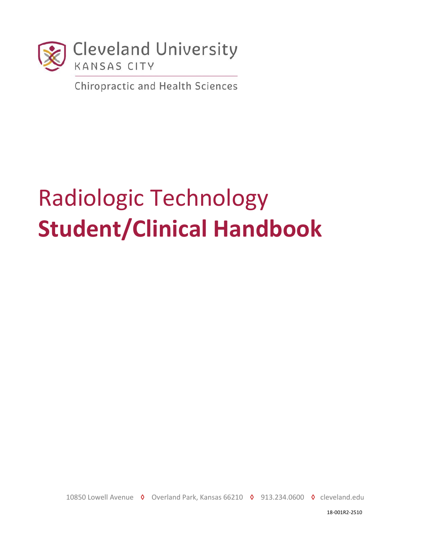

**Chiropractic and Health Sciences** 

# Radiologic Technology **Student/Clinical Handbook**

10850 Lowell Avenue ◊ Overland Park, Kansas 66210 ◊ 913.234.0600 ◊ cleveland.edu

18-001R2-2510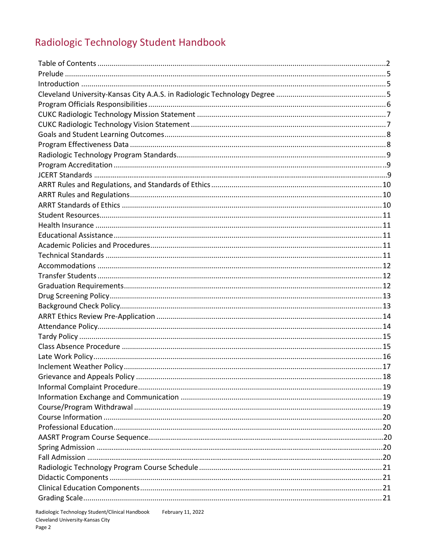# Radiologic Technology Student Handbook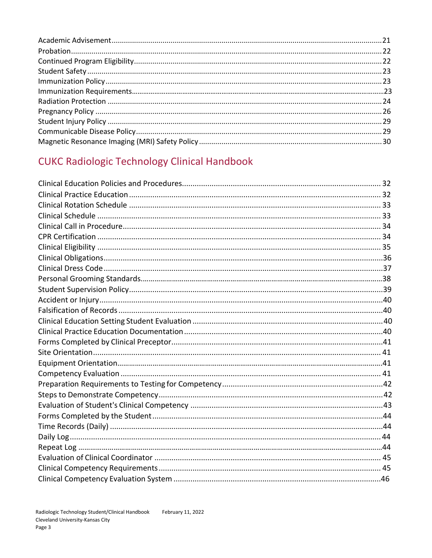# **CUKC Radiologic Technology Clinical Handbook**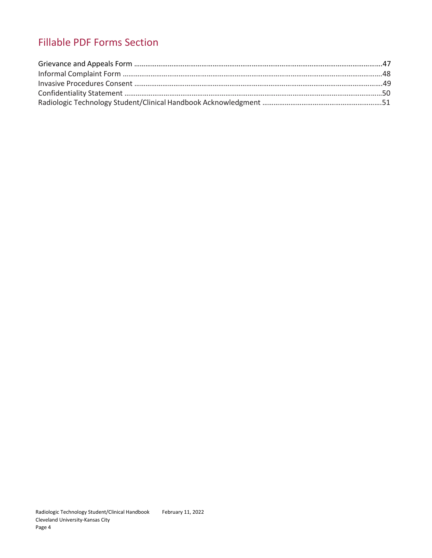# Fillable PDF Forms Section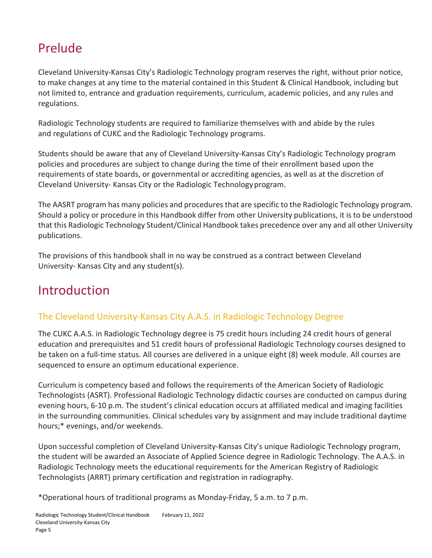# Prelude

Cleveland University-Kansas City's Radiologic Technology program reserves the right, without prior notice, to make changes at any time to the material contained in this Student & Clinical Handbook, including but not limited to, entrance and graduation requirements, curriculum, academic policies, and any rules and regulations.

Radiologic Technology students are required to familiarize themselves with and abide by the rules and regulations of CUKC and the Radiologic Technology programs.

Students should be aware that any of Cleveland University-Kansas City's Radiologic Technology program policies and procedures are subject to change during the time of their enrollment based upon the requirements of state boards, or governmental or accrediting agencies, as well as at the discretion of Cleveland University- Kansas City or the Radiologic Technologyprogram.

The AASRT program has many policies and proceduresthat are specific to the Radiologic Technology program. Should a policy or procedure in this Handbook differ from other University publications, it is to be understood that this Radiologic Technology Student/Clinical Handbook takes precedence over any and all other University publications.

The provisions of this handbook shall in no way be construed as a contract between Cleveland University- Kansas City and any student(s).

# Introduction

# The Cleveland University-Kansas City A.A.S. in Radiologic Technology Degree

The CUKC A.A.S. in Radiologic Technology degree is 75 credit hours including 24 credit hours of general education and prerequisites and 51 credit hours of professional Radiologic Technology courses designed to be taken on a full-time status. All courses are delivered in a unique eight (8) week module. All courses are sequenced to ensure an optimum educational experience.

Curriculum is competency based and follows the requirements of the American Society of Radiologic Technologists (ASRT). Professional Radiologic Technology didactic courses are conducted on campus during evening hours, 6-10 p.m. The student's clinical education occurs at affiliated medical and imaging facilities in the surrounding communities. Clinical schedules vary by assignment and may include traditional daytime hours;\* evenings, and/or weekends.

Upon successful completion of Cleveland University-Kansas City's unique Radiologic Technology program, the student will be awarded an Associate of Applied Science degree in Radiologic Technology. The A.A.S. in Radiologic Technology meets the educational requirements for the American Registry of Radiologic Technologists (ARRT) primary certification and registration in radiography.

\*Operational hours of traditional programs as Monday-Friday, 5 a.m. to 7 p.m.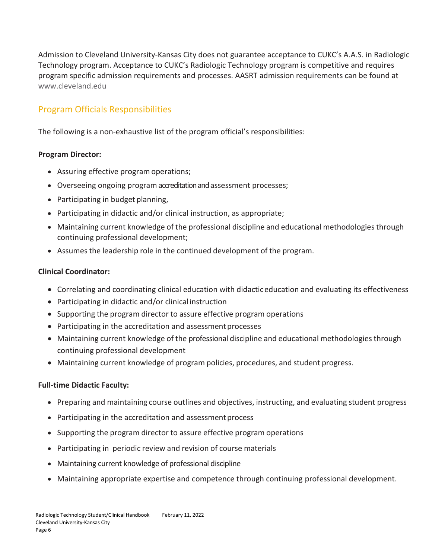Admission to Cleveland University-Kansas City does not guarantee acceptance to CUKC's A.A.S. in Radiologic Technology program. Acceptance to CUKC's Radiologic Technology program is competitive and requires program specific admission requirements and processes. AASRT admission requirements can be found at [www.cleveland.edu](http://www.cleveland.edu/)

# Program Officials Responsibilities

The following is a non-exhaustive list of the program official's responsibilities:

#### **Program Director:**

- Assuring effective program operations;
- Overseeing ongoing program accreditation and assessment processes;
- Participating in budget planning,
- Participating in didactic and/or clinical instruction, as appropriate;
- Maintaining current knowledge of the professional discipline and educational methodologies through continuing professional development;
- Assumes the leadership role in the continued development of the program.

#### **Clinical Coordinator:**

- Correlating and coordinating clinical education with didacticeducation and evaluating its effectiveness
- Participating in didactic and/or clinicalinstruction
- Supporting the program director to assure effective program operations
- Participating in the accreditation and assessment processes
- Maintaining current knowledge of the professional discipline and educational methodologies through continuing professional development
- Maintaining current knowledge of program policies, procedures, and student progress.

#### **Full-time Didactic Faculty:**

- Preparing and maintaining course outlines and objectives, instructing, and evaluating student progress
- Participating in the accreditation and assessment process
- Supporting the program director to assure effective program operations
- Participating in periodic review and revision of course materials
- Maintaining current knowledge of professional discipline
- Maintaining appropriate expertise and competence through continuing professional development.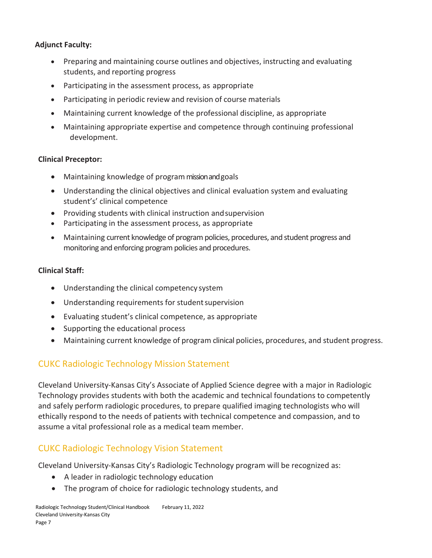#### **Adjunct Faculty:**

- Preparing and maintaining course outlines and objectives, instructing and evaluating students, and reporting progress
- Participating in the assessment process, as appropriate
- Participating in periodic review and revision of course materials
- Maintaining current knowledge of the professional discipline, as appropriate
- Maintaining appropriate expertise and competence through continuing professional development.

#### **Clinical Preceptor:**

- Maintaining knowledge of program mission and goals
- Understanding the clinical objectives and clinical evaluation system and evaluating student's' clinical competence
- Providing students with clinical instruction andsupervision
- Participating in the assessment process, as appropriate
- Maintaining current knowledge of program policies, procedures, and student progress and monitoring and enforcing program policies and procedures.

#### **Clinical Staff:**

- Understanding the clinical competency system
- Understanding requirements for studentsupervision
- Evaluating student's clinical competence, as appropriate
- Supporting the educational process
- Maintaining current knowledge of program clinical policies, procedures, and student progress.

# CUKC Radiologic Technology Mission Statement

Cleveland University-Kansas City's Associate of Applied Science degree with a major in Radiologic Technology provides students with both the academic and technical foundations to competently and safely perform radiologic procedures, to prepare qualified imaging technologists who will ethically respond to the needs of patients with technical competence and compassion, and to assume a vital professional role as a medical team member.

# CUKC Radiologic Technology Vision Statement

Cleveland University-Kansas City's Radiologic Technology program will be recognized as:

- A leader in radiologic technology education
- The program of choice for radiologic technology students, and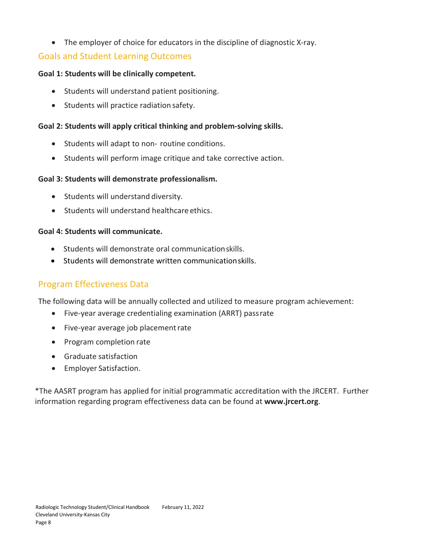• The employer of choice for educators in the discipline of diagnostic X-ray.

## Goals and Student Learning Outcomes

#### **Goal 1: Students will be clinically competent.**

- Students will understand patient positioning.
- Students will practice radiation safety.

#### **Goal 2: Students will apply critical thinking and problem-solving skills.**

- Students will adapt to non- routine conditions.
- Students will perform image critique and take corrective action.

#### **Goal 3: Students will demonstrate professionalism.**

- Students will understand diversity.
- Students will understand healthcare ethics.

#### **Goal 4: Students will communicate.**

- Students will demonstrate oral communicationskills.
- Students will demonstrate written communicationskills.

## Program Effectiveness Data

The following data will be annually collected and utilized to measure program achievement:

- Five-year average credentialing examination (ARRT) passrate
- Five-year average job placementrate
- Program completion rate
- Graduate satisfaction
- Employer Satisfaction.

\*The AASRT program has applied for initial programmatic accreditation with the JRCERT. Further information regarding program effectiveness data can be found at **www.jrcert.org**.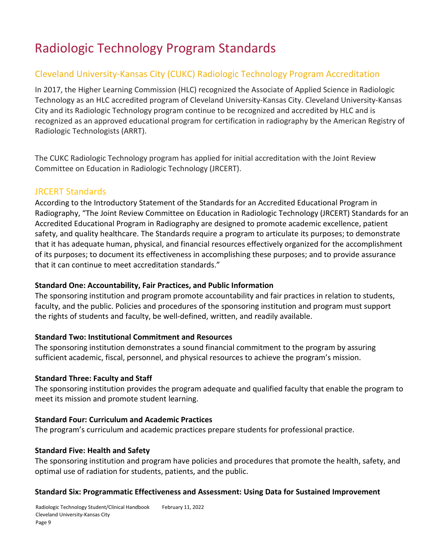# Radiologic Technology Program Standards

# Cleveland University-Kansas City (CUKC) Radiologic Technology Program Accreditation

In 2017, the Higher Learning Commission (HLC) recognized the Associate of Applied Science in Radiologic Technology as an HLC accredited program of Cleveland University-Kansas City. Cleveland University-Kansas City and its Radiologic Technology program continue to be recognized and accredited by HLC and is recognized as an approved educational program for certification in radiography by the American Registry of Radiologic Technologists (ARRT).

The CUKC Radiologic Technology program has applied for initial accreditation with the Joint Review Committee on Education in Radiologic Technology (JRCERT).

#### JRCERT Standards

According to the Introductory Statement of the Standards for an Accredited Educational Program in Radiography, "The Joint Review Committee on Education in Radiologic Technology (JRCERT) Standards for an Accredited Educational Program in Radiography are designed to promote academic excellence, patient safety, and quality healthcare. The Standards require a program to articulate its purposes; to demonstrate that it has adequate human, physical, and financial resources effectively organized for the accomplishment of its purposes; to document its effectiveness in accomplishing these purposes; and to provide assurance that it can continue to meet accreditation standards."

#### **Standard One: Accountability, Fair Practices, and Public Information**

The sponsoring institution and program promote accountability and fair practices in relation to students, faculty, and the public. Policies and procedures of the sponsoring institution and program must support the rights of students and faculty, be well-defined, written, and readily available.

#### **Standard Two: Institutional Commitment and Resources**

The sponsoring institution demonstrates a sound financial commitment to the program by assuring sufficient academic, fiscal, personnel, and physical resources to achieve the program's mission.

#### **Standard Three: Faculty and Staff**

The sponsoring institution provides the program adequate and qualified faculty that enable the program to meet its mission and promote student learning.

#### **Standard Four: Curriculum and Academic Practices**

The program's curriculum and academic practices prepare students for professional practice.

#### **Standard Five: Health and Safety**

The sponsoring institution and program have policies and procedures that promote the health, safety, and optimal use of radiation for students, patients, and the public.

#### **Standard Six: Programmatic Effectiveness and Assessment: Using Data for Sustained Improvement**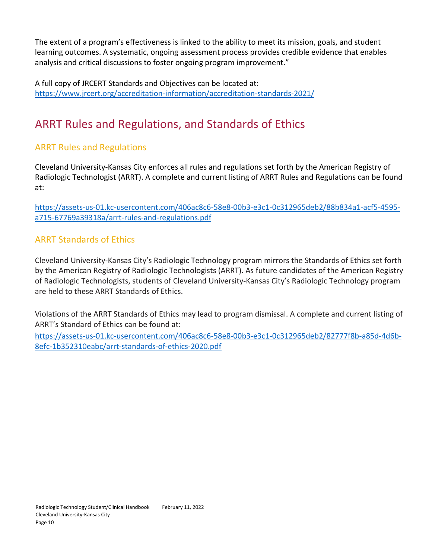The extent of a program's effectiveness is linked to the ability to meet its mission, goals, and student learning outcomes. A systematic, ongoing assessment process provides credible evidence that enables analysis and critical discussions to foster ongoing program improvement."

A full copy of JRCERT Standards and Objectives can be located at: <https://www.jrcert.org/accreditation-information/accreditation-standards-2021/>

# ARRT Rules and Regulations, and Standards of Ethics

## ARRT Rules and Regulations

Cleveland University-Kansas City enforces all rules and regulations set forth by the American Registry of Radiologic Technologist (ARRT). A complete and current listing of ARRT Rules and Regulations can be found at:

[https://assets-us-01.kc-usercontent.com/406ac8c6-58e8-00b3-e3c1-0c312965deb2/88b834a1-acf5-4595](https://assets-us-01.kc-usercontent.com/406ac8c6-58e8-00b3-e3c1-0c312965deb2/88b834a1-acf5-4595-a715-67769a39318a/arrt-rules-and-regulations.pdf) [a715-67769a39318a/arrt-rules-and-regulations.pdf](https://assets-us-01.kc-usercontent.com/406ac8c6-58e8-00b3-e3c1-0c312965deb2/88b834a1-acf5-4595-a715-67769a39318a/arrt-rules-and-regulations.pdf)

## ARRT Standards of Ethics

Cleveland University-Kansas City's Radiologic Technology program mirrors the Standards of Ethics set forth by the American Registry of Radiologic Technologists (ARRT). As future candidates of the American Registry of Radiologic Technologists, students of Cleveland University-Kansas City's Radiologic Technology program are held to these ARRT Standards of Ethics.

Violations of the ARRT Standards of Ethics may lead to program dismissal. A complete and current listing of ARRT's Standard of Ethics can be found at:

[https://assets-us-01.kc-usercontent.com/406ac8c6-58e8-00b3-e3c1-0c312965deb2/82777f8b-a85d-4d6b-](https://assets-us-01.kc-usercontent.com/406ac8c6-58e8-00b3-e3c1-0c312965deb2/82777f8b-a85d-4d6b-8efc-1b352310eabc/arrt-standards-of-ethics-2020.pdf)[8efc-1b352310eabc/arrt-standards-of-ethics-2020.pdf](https://assets-us-01.kc-usercontent.com/406ac8c6-58e8-00b3-e3c1-0c312965deb2/82777f8b-a85d-4d6b-8efc-1b352310eabc/arrt-standards-of-ethics-2020.pdf)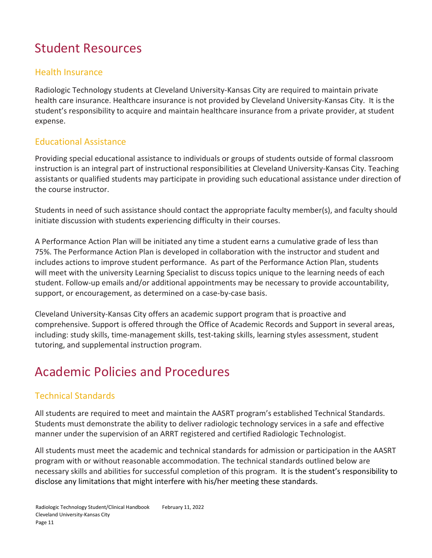# Student Resources

## Health Insurance

Radiologic Technology students at Cleveland University-Kansas City are required to maintain private health care insurance. Healthcare insurance is not provided by Cleveland University-Kansas City. It is the student's responsibility to acquire and maintain healthcare insurance from a private provider, at student expense.

## Educational Assistance

Providing special educational assistance to individuals or groups of students outside of formal classroom instruction is an integral part of instructional responsibilities at Cleveland University-Kansas City. Teaching assistants or qualified students may participate in providing such educational assistance under direction of the course instructor.

Students in need of such assistance should contact the appropriate faculty member(s), and faculty should initiate discussion with students experiencing difficulty in their courses.

A Performance Action Plan will be initiated any time a student earns a cumulative grade of less than 75%. The Performance Action Plan is developed in collaboration with the instructor and student and includes actions to improve student performance. As part of the Performance Action Plan, students will meet with the university Learning Specialist to discuss topics unique to the learning needs of each student. Follow-up emails and/or additional appointments may be necessary to provide accountability, support, or encouragement, as determined on a case-by-case basis.

Cleveland University-Kansas City offers an academic support program that is proactive and comprehensive. Support is offered through the Office of Academic Records and Support in several areas, including: study skills, time-management skills, test-taking skills, learning styles assessment, student tutoring, and supplemental instruction program.

# Academic Policies and Procedures

# Technical Standards

All students are required to meet and maintain the AASRT program's established Technical Standards. Students must demonstrate the ability to deliver radiologic technology services in a safe and effective manner under the supervision of an ARRT registered and certified Radiologic Technologist.

All students must meet the academic and technical standards for admission or participation in the AASRT program with or without reasonable accommodation. The technical standards outlined below are necessary skills and abilities for successful completion of this program. It is the student's responsibility to disclose any limitations that might interfere with his/her meeting these standards.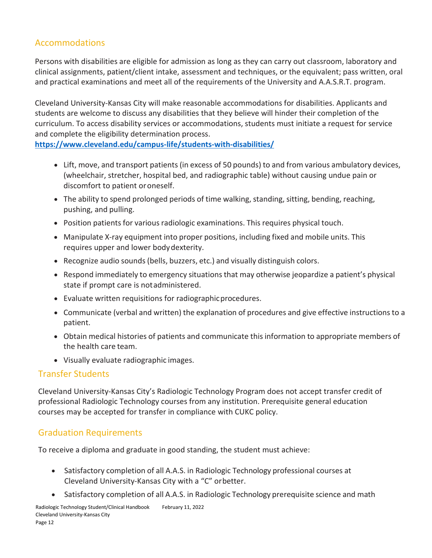## Accommodations

Persons with disabilities are eligible for admission as long as they can carry out classroom, laboratory and clinical assignments, patient/client intake, assessment and techniques, or the equivalent; pass written, oral and practical examinations and meet all of the requirements of the University and A.A.S.R.T. program.

Cleveland University-Kansas City will make reasonable accommodations for disabilities. Applicants and students are welcome to discuss any disabilities that they believe will hinder their completion of the curriculum. To access disability services or accommodations, students must initiate a request for service and complete the eligibility determination process.

**<https://www.cleveland.edu/campus-life/students-with-disabilities/>**

- Lift, move, and transport patients(in excess of 50 pounds) to and from various ambulatory devices, (wheelchair, stretcher, hospital bed, and radiographic table) without causing undue pain or discomfort to patient oroneself.
- The ability to spend prolonged periods of time walking, standing, sitting, bending, reaching, pushing, and pulling.
- Position patients for various radiologic examinations. This requires physical touch.
- Manipulate X-ray equipment into proper positions, including fixed and mobile units. This requires upper and lower bodydexterity.
- Recognize audio sounds (bells, buzzers, etc.) and visually distinguish colors.
- Respond immediately to emergency situations that may otherwise jeopardize a patient's physical state if prompt care is notadministered.
- Evaluate written requisitions for radiographicprocedures.
- Communicate (verbal and written) the explanation of procedures and give effective instructionsto a patient.
- Obtain medical histories of patients and communicate this information to appropriate members of the health care team.
- Visually evaluate radiographic images.

#### Transfer Students

Cleveland University-Kansas City's Radiologic Technology Program does not accept transfer credit of professional Radiologic Technology courses from any institution. Prerequisite general education courses may be accepted for transfer in compliance with CUKC policy.

## Graduation Requirements

To receive a diploma and graduate in good standing, the student must achieve:

- Satisfactory completion of all A.A.S. in Radiologic Technology professional courses at Cleveland University-Kansas City with a "C" orbetter.
- Satisfactory completion of all A.A.S. in Radiologic Technology prerequisite science and math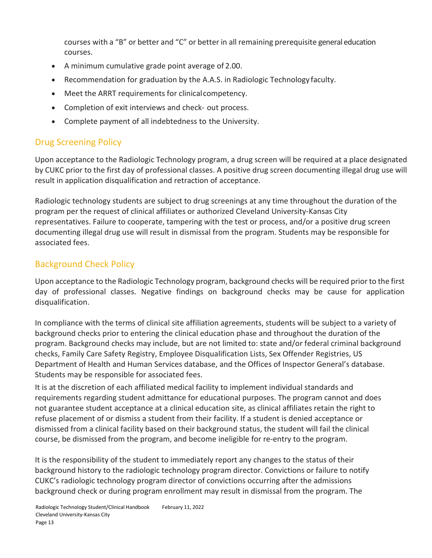courses with a "B" or better and "C" or better in all remaining prerequisite general education courses.

- A minimum cumulative grade point average of 2.00.
- Recommendation for graduation by the A.A.S. in Radiologic Technology faculty.
- Meet the ARRT requirements for clinicalcompetency.
- Completion of exit interviews and check- out process.
- Complete payment of all indebtedness to the University.

# Drug Screening Policy

Upon acceptance to the Radiologic Technology program, a drug screen will be required at a place designated by CUKC prior to the first day of professional classes. A positive drug screen documenting illegal drug use will result in application disqualification and retraction of acceptance.

Radiologic technology students are subject to drug screenings at any time throughout the duration of the program per the request of clinical affiliates or authorized Cleveland University-Kansas City representatives. Failure to cooperate, tampering with the test or process, and/or a positive drug screen documenting illegal drug use will result in dismissal from the program. Students may be responsible for associated fees.

## Background Check Policy

Upon acceptance to the Radiologic Technology program, background checks will be required prior to the first day of professional classes. Negative findings on background checks may be cause for application disqualification.

In compliance with the terms of clinical site affiliation agreements, students will be subject to a variety of background checks prior to entering the clinical education phase and throughout the duration of the program. Background checks may include, but are not limited to: state and/or federal criminal background checks, Family Care Safety Registry, Employee Disqualification Lists, Sex Offender Registries, US Department of Health and Human Services database, and the Offices of Inspector General's database. Students may be responsible for associated fees.

It is at the discretion of each affiliated medical facility to implement individual standards and requirements regarding student admittance for educational purposes. The program cannot and does not guarantee student acceptance at a clinical education site, as clinical affiliates retain the right to refuse placement of or dismiss a student from their facility. If a student is denied acceptance or dismissed from a clinical facility based on their background status, the student will fail the clinical course, be dismissed from the program, and become ineligible for re-entry to the program.

It is the responsibility of the student to immediately report any changes to the status of their background history to the radiologic technology program director. Convictions or failure to notify CUKC's radiologic technology program director of convictions occurring after the admissions background check or during program enrollment may result in dismissal from the program. The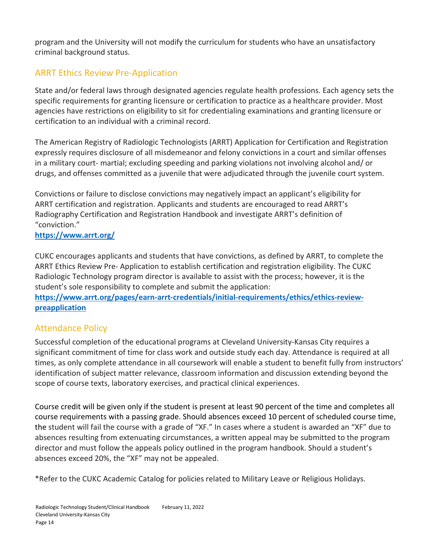program and the University will not modify the curriculum for students who have an unsatisfactory criminal background status.

# ARRT Ethics Review Pre-Application

State and/or federal laws through designated agencies regulate health professions. Each agency sets the specific requirements for granting licensure or certification to practice as a healthcare provider. Most agencies have restrictions on eligibility to sit for credentialing examinations and granting licensure or certification to an individual with a criminal record.

The American Registry of Radiologic Technologists (ARRT) Application for Certification and Registration expressly requires disclosure of all misdemeanor and felony convictions in a court and similar offenses in a military court- martial; excluding speeding and parking violations not involving alcohol and/ or drugs, and offenses committed as a juvenile that were adjudicated through the juvenile court system.

Convictions or failure to disclose convictions may negatively impact an applicant's eligibility for ARRT certification and registration. Applicants and students are encouraged to read ARRT's Radiography Certification and Registration Handbook and investigate ARRT's definition of "conviction."

#### **<https://www.arrt.org/>**

CUKC encourages applicants and students that have convictions, as defined by ARRT, to complete the ARRT Ethics Review Pre- Application to establish certification and registration eligibility. The CUKC Radiologic Technology program director is available to assist with the process; however, it is the student's sole responsibility to complete and submit the application:

**[https://www.arrt.org/pages/earn-arrt-credentials/initial-requirements/ethics/ethics-review](https://www.arrt.org/pages/earn-arrt-credentials/initial-requirements/ethics/ethics-review-preapplication)[preapplication](https://www.arrt.org/pages/earn-arrt-credentials/initial-requirements/ethics/ethics-review-preapplication)**

## Attendance Policy

Successful completion of the educational programs at Cleveland University-Kansas City requires a significant commitment of time for class work and outside study each day. Attendance is required at all times, as only complete attendance in all coursework will enable a student to benefit fully from instructors' identification of subject matter relevance, classroom information and discussion extending beyond the scope of course texts, laboratory exercises, and practical clinical experiences.

Course credit will be given only if the student is present at least 90 percent of the time and completes all course requirements with a passing grade. Should absences exceed 10 percent of scheduled course time, the student will fail the course with a grade of "XF." In cases where a student is awarded an "XF" due to absences resulting from extenuating circumstances, a written appeal may be submitted to the program director and must follow the appeals policy outlined in the program handbook. Should a student's absences exceed 20%, the "XF" may not be appealed.

\*Refer to the CUKC Academic Catalog for policies related to Military Leave or Religious Holidays.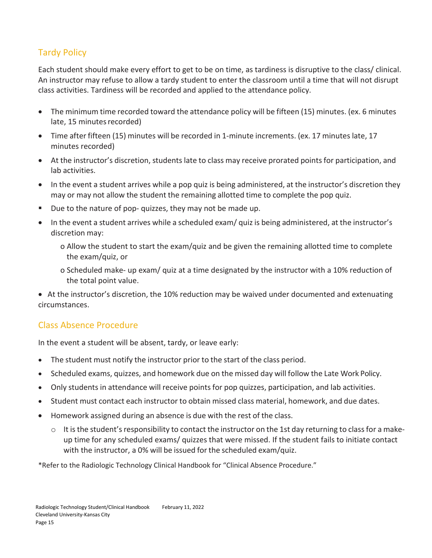# Tardy Policy

Each student should make every effort to get to be on time, as tardiness is disruptive to the class/ clinical. An instructor may refuse to allow a tardy student to enter the classroom until a time that will not disrupt class activities. Tardiness will be recorded and applied to the attendance policy.

- The minimum time recorded toward the attendance policy will be fifteen (15) minutes. (ex. 6 minutes late, 15 minutes recorded)
- Time after fifteen (15) minutes will be recorded in 1-minute increments. (ex. 17 minutes late, 17 minutes recorded)
- At the instructor's discretion, students late to class may receive prorated points for participation, and lab activities.
- In the event a student arrives while a pop quiz is being administered, at the instructor's discretion they may or may not allow the student the remaining allotted time to complete the pop quiz.
- Due to the nature of pop- quizzes, they may not be made up.
- In the event a student arrives while a scheduled exam/ quiz is being administered, at the instructor's discretion may:
	- o Allow the student to start the exam/quiz and be given the remaining allotted time to complete the exam/quiz, or
	- o Scheduled make- up exam/ quiz at a time designated by the instructor with a 10% reduction of the total point value.

• At the instructor's discretion, the 10% reduction may be waived under documented and extenuating circumstances.

# Class Absence Procedure

In the event a student will be absent, tardy, or leave early:

- The student must notify the instructor prior to the start of the class period.
- Scheduled exams, quizzes, and homework due on the missed day will follow the Late Work Policy.
- Only students in attendance will receive points for pop quizzes, participation, and lab activities.
- Student must contact each instructor to obtain missed class material, homework, and due dates.
- Homework assigned during an absence is due with the rest of the class.
	- $\circ$  It is the student's responsibility to contact the instructor on the 1st day returning to class for a makeup time for any scheduled exams/ quizzes that were missed. If the student fails to initiate contact with the instructor, a 0% will be issued for the scheduled exam/quiz.

\*Refer to the Radiologic Technology Clinical Handbook for "Clinical Absence Procedure."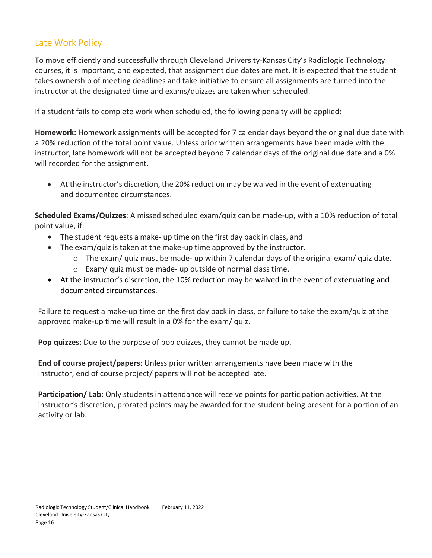## Late Work Policy

To move efficiently and successfully through Cleveland University-Kansas City's Radiologic Technology courses, it is important, and expected, that assignment due dates are met. It is expected that the student takes ownership of meeting deadlines and take initiative to ensure all assignments are turned into the instructor at the designated time and exams/quizzes are taken when scheduled.

If a student fails to complete work when scheduled, the following penalty will be applied:

**Homework:** Homework assignments will be accepted for 7 calendar days beyond the original due date with a 20% reduction of the total point value. Unless prior written arrangements have been made with the instructor, late homework will not be accepted beyond 7 calendar days of the original due date and a 0% will recorded for the assignment.

• At the instructor's discretion, the 20% reduction may be waived in the event of extenuating and documented circumstances.

**Scheduled Exams/Quizzes**: A missed scheduled exam/quiz can be made-up, with a 10% reduction of total point value, if:

- The student requests a make- up time on the first day back in class, and
- The exam/quiz is taken at the make-up time approved by the instructor.
	- $\circ$  The exam/ quiz must be made- up within 7 calendar days of the original exam/ quiz date.
	- o Exam/ quiz must be made- up outside of normal class time.
- At the instructor's discretion, the 10% reduction may be waived in the event of extenuating and documented circumstances.

Failure to request a make-up time on the first day back in class, or failure to take the exam/quiz at the approved make-up time will result in a 0% for the exam/ quiz.

**Pop quizzes:** Due to the purpose of pop quizzes, they cannot be made up.

**End of course project/papers:** Unless prior written arrangements have been made with the instructor, end of course project/ papers will not be accepted late.

**Participation/ Lab:** Only students in attendance will receive points for participation activities. At the instructor's discretion, prorated points may be awarded for the student being present for a portion of an activity or lab.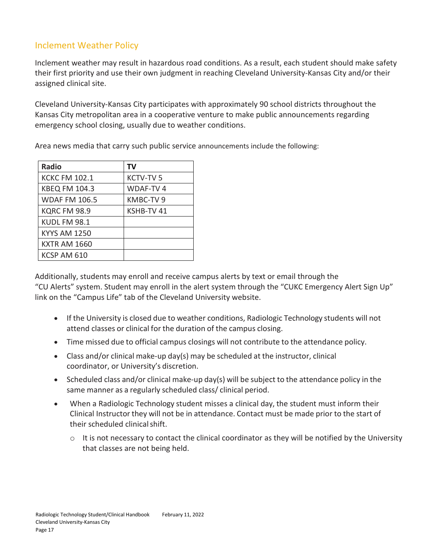## Inclement Weather Policy

Inclement weather may result in hazardous road conditions. As a result, each student should make safety their first priority and use their own judgment in reaching Cleveland University-Kansas City and/or their assigned clinical site.

Cleveland University-Kansas City participates with approximately 90 school districts throughout the Kansas City metropolitan area in a cooperative venture to make public announcements regarding emergency school closing, usually due to weather conditions.

Area news media that carry such public service announcements include the following:

| <b>Radio</b>         | TV              |
|----------------------|-----------------|
| <b>KCKC FM 102.1</b> | <b>KCTV-TV5</b> |
| <b>KBEQ FM 104.3</b> | WDAF-TV 4       |
| <b>WDAF FM 106.5</b> | KMBC-TV9        |
| KQRC FM 98.9         | KSHB-TV 41      |
| KUDL FM 98.1         |                 |
| <b>KYYS AM 1250</b>  |                 |
| <b>KXTR AM 1660</b>  |                 |
| KCSP AM 610          |                 |

Additionally, students may enroll and receive campus alerts by text or email through the "CU Alerts" system. Student may enroll in the alert system through the "CUKC Emergency Alert Sign Up" link on the "Campus Life" tab of the Cleveland University website.

- If the University is closed due to weather conditions, Radiologic Technology students will not attend classes or clinical for the duration of the campus closing.
- Time missed due to official campus closings will not contribute to the attendance policy.
- Class and/or clinical make-up day(s) may be scheduled at the instructor, clinical coordinator, or University's discretion.
- Scheduled class and/or clinical make-up day(s) will be subject to the attendance policy in the same manner as a regularly scheduled class/ clinical period.
- When a Radiologic Technology student misses a clinical day, the student must inform their Clinical Instructor they will not be in attendance. Contact must be made prior to the start of their scheduled clinicalshift.
	- o It is not necessary to contact the clinical coordinator as they will be notified by the University that classes are not being held.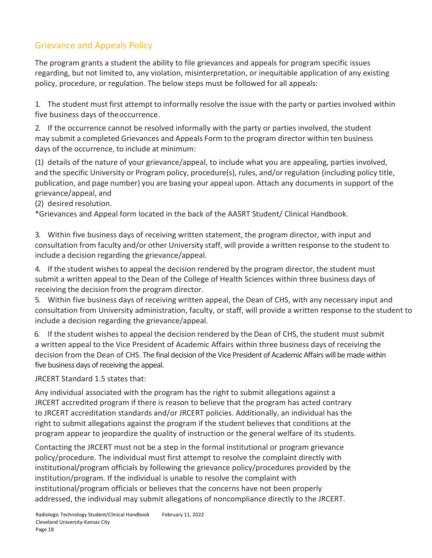# Grievance and Appeals Policy

The program grants a student the ability to file grievances and appeals for program specific issues regarding, but not limited to, any violation, misinterpretation, or inequitable application of any existing policy, procedure, or regulation. The below steps must be followed for all appeals:

1. The student must first attempt to informally resolve the issue with the party or parties involved within five business days of theoccurrence.

2. If the occurrence cannot be resolved informally with the party or parties involved, the student may submit a completed Grievances and Appeals Form to the program director within ten business days of the occurrence, to include at minimum:

(1) details of the nature of your grievance/appeal, to include what you are appealing, parties involved, and the specific University or Program policy, procedure(s), rules, and/or regulation (including policy title, publication, and page number) you are basing your appeal upon. Attach any documents in support of the grievance/appeal, and

(2) desired resolution.

\*Grievances and Appeal form located in the back of the AASRT Student/ Clinical Handbook.

3. Within five business days of receiving written statement, the program director, with input and consultation from faculty and/or other University staff, will provide a written response to the student to include a decision regarding the grievance/appeal.

4. If the student wishesto appeal the decision rendered by the program director, the student must submit a written appeal to the Dean of the College of Health Sciences within three business days of receiving the decision from the program director.

5. Within five business days of receiving written appeal, the Dean of CHS, with any necessary input and consultation from University administration, faculty, or staff, will provide a written response to the student to include a decision regarding the grievance/appeal.

6. If the student wishesto appeal the decision rendered by the Dean of CHS, the student must submit a written appeal to the Vice President of Academic Affairs within three business days of receiving the decision from the Dean of CHS. The final decision of the Vice President of Academic Affairs will be made within five business days of receiving the appeal.

JRCERT Standard 1.5 states that:

Any individual associated with the program has the right to submit allegations against a JRCERT accredited program if there is reason to believe that the program has acted contrary to JRCERT accreditation standards and/or JRCERT policies. Additionally, an individual has the right to submit allegations against the program if the student believes that conditions at the program appear to jeopardize the quality of instruction or the general welfare of its students.

Contacting the JRCERT must not be a step in the formal institutional or program grievance policy/procedure. The individual must first attempt to resolve the complaint directly with institutional/program officials by following the grievance policy/procedures provided by the institution/program. If the individual is unable to resolve the complaint with institutional/program officials or believes that the concerns have not been properly addressed, the individual may submit allegations of noncompliance directly to the JRCERT.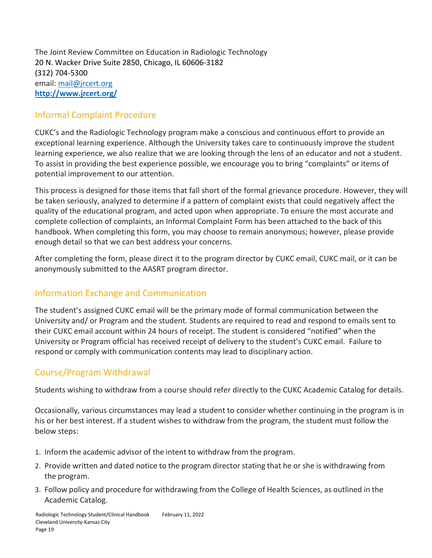The Joint Review Committee on Education in Radiologic Technology 20 N. Wacker Drive Suite 2850, Chicago, IL 60606-3182 (312) 704-5300 email: [mail@jrcert.org](mailto:mail@jrcert.or) **<http://www.jrcert.org/>**

#### Informal Complaint Procedure

CUKC's and the Radiologic Technology program make a conscious and continuous effort to provide an exceptional learning experience. Although the University takes care to continuously improve the student learning experience, we also realize that we are looking through the lens of an educator and not a student. To assist in providing the best experience possible, we encourage you to bring "complaints" or items of potential improvement to our attention.

This process is designed for those items that fall short of the formal grievance procedure. However, they will be taken seriously, analyzed to determine if a pattern of complaint exists that could negatively affect the quality of the educational program, and acted upon when appropriate. To ensure the most accurate and complete collection of complaints, an Informal Complaint Form has been attached to the back of this handbook. When completing this form, you may choose to remain anonymous; however, please provide enough detail so that we can best address your concerns.

After completing the form, please direct it to the program director by CUKC email, CUKC mail, or it can be anonymously submitted to the AASRT program director.

## Information Exchange and Communication

The student's assigned CUKC email will be the primary mode of formal communication between the University and/ or Program and the student. Students are required to read and respond to emails sent to their CUKC email account within 24 hours of receipt. The student is considered "notified" when the University or Program official has received receipt of delivery to the student's CUKC email. Failure to respond or comply with communication contents may lead to disciplinary action.

## Course/Program Withdrawal

Students wishing to withdraw from a course should refer directly to the CUKC Academic Catalog for details.

Occasionally, various circumstances may lead a student to consider whether continuing in the program is in his or her best interest. If a student wishes to withdraw from the program, the student must follow the below steps:

- 1. Inform the academic advisor of the intent to withdraw from the program.
- 2. Provide written and dated notice to the program director stating that he or she is withdrawing from the program.
- 3. Follow policy and procedure for withdrawing from the College of Health Sciences, as outlined in the Academic Catalog.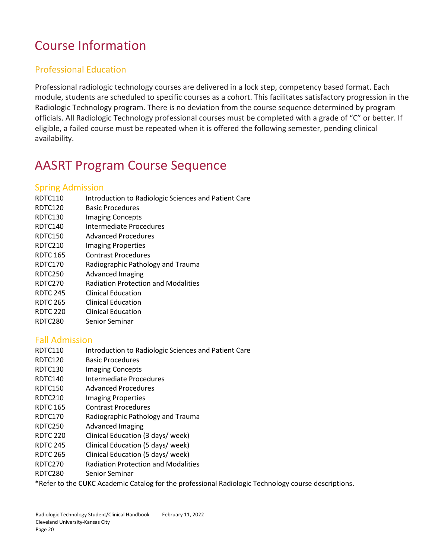# Course Information

# Professional Education

Professional radiologic technology courses are delivered in a lock step, competency based format. Each module, students are scheduled to specific courses as a cohort. This facilitates satisfactory progression in the Radiologic Technology program. There is no deviation from the course sequence determined by program officials. All Radiologic Technology professional courses must be completed with a grade of "C" or better. If eligible, a failed course must be repeated when it is offered the following semester, pending clinical availability.

# AASRT Program Course Sequence

#### Spring Admission

- RDTC110 Introduction to Radiologic Sciences and Patient Care
- RDTC120 Basic Procedures
- RDTC130 Imaging Concepts
- RDTC140 Intermediate Procedures
- RDTC150 Advanced Procedures
- RDTC210 Imaging Properties
- RDTC 165 Contrast Procedures
- RDTC170 Radiographic Pathology and Trauma
- RDTC250 Advanced Imaging
- RDTC270 Radiation Protection and Modalities
- RDTC 245 Clinical Education
- RDTC 265 Clinical Education
- RDTC 220 Clinical Education
- RDTC280 Senior Seminar

#### Fall Admission

- RDTC110 Introduction to Radiologic Sciences and Patient Care
- RDTC120 Basic Procedures
- RDTC130 Imaging Concepts
- RDTC140 Intermediate Procedures
- RDTC150 Advanced Procedures
- RDTC210 Imaging Properties
- RDTC 165 Contrast Procedures
- RDTC170 Radiographic Pathology and Trauma
- RDTC250 Advanced Imaging
- RDTC 220 Clinical Education (3 days/ week)
- RDTC 245 Clinical Education (5 days/ week)
- RDTC 265 Clinical Education (5 days/ week)
- RDTC270 Radiation Protection and Modalities
- RDTC280 Senior Seminar

\*Refer to the CUKC Academic Catalog for the professional Radiologic Technology course descriptions.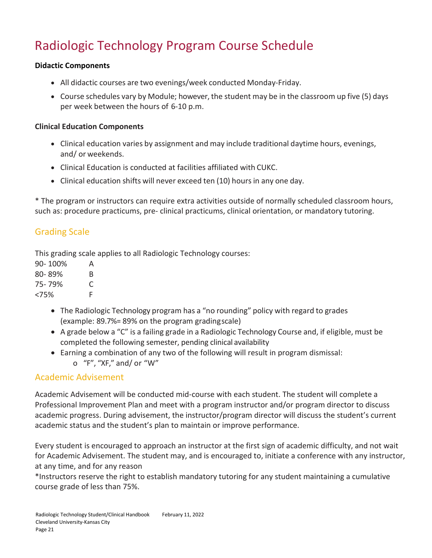# Radiologic Technology Program Course Schedule

#### **Didactic Components**

- All didactic courses are two evenings/week conducted Monday-Friday.
- Course schedules vary by Module; however, the student may be in the classroom up five (5) days per week between the hours of 6-10 p.m.

#### **Clinical Education Components**

- Clinical education varies by assignment and may include traditional daytime hours, evenings, and/ or weekends.
- Clinical Education is conducted at facilities affiliated with CUKC.
- Clinical education shifts will never exceed ten (10) hours in any one day.

\* The program or instructors can require extra activities outside of normally scheduled classroom hours, such as: procedure practicums, pre- clinical practicums, clinical orientation, or mandatory tutoring.

## Grading Scale

This grading scale applies to all Radiologic Technology courses:

| 90-100%    | А |
|------------|---|
| $80 - 89%$ | B |
| 75-79%     | C |
| <75%       | F |

- The Radiologic Technology program has a "no rounding" policy with regard to grades (example: 89.7%= 89% on the program gradingscale)
- A grade below a "C" is a failing grade in a Radiologic Technology Course and, if eligible, must be completed the following semester, pending clinical availability
- Earning a combination of any two of the following will result in program dismissal: o "F", "XF," and/ or "W"

#### Academic Advisement

Academic Advisement will be conducted mid-course with each student. The student will complete a Professional Improvement Plan and meet with a program instructor and/or program director to discuss academic progress. During advisement, the instructor/program director will discuss the student's current academic status and the student's plan to maintain or improve performance.

Every student is encouraged to approach an instructor at the first sign of academic difficulty, and not wait for Academic Advisement. The student may, and is encouraged to, initiate a conference with any instructor, at any time, and for any reason

\*Instructors reserve the right to establish mandatory tutoring for any student maintaining a cumulative course grade of less than 75%.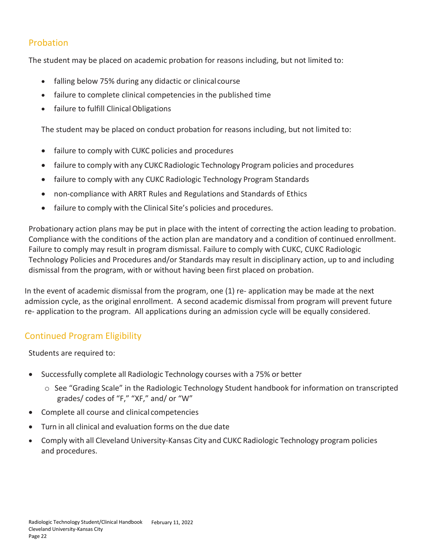## Probation

The student may be placed on academic probation for reasons including, but not limited to:

- falling below 75% during any didactic or clinical course
- failure to complete clinical competencies in the published time
- failure to fulfill Clinical Obligations

The student may be placed on conduct probation for reasons including, but not limited to:

- failure to comply with CUKC policies and procedures
- failure to comply with any CUKC Radiologic Technology Program policies and procedures
- failure to comply with any CUKC Radiologic Technology Program Standards
- non-compliance with ARRT Rules and Regulations and Standards of Ethics
- failure to comply with the Clinical Site's policies and procedures.

Probationary action plans may be put in place with the intent of correcting the action leading to probation. Compliance with the conditions of the action plan are mandatory and a condition of continued enrollment. Failure to comply may result in program dismissal. Failure to comply with CUKC, CUKC Radiologic Technology Policies and Procedures and/or Standards may result in disciplinary action, up to and including dismissal from the program, with or without having been first placed on probation.

In the event of academic dismissal from the program, one (1) re- application may be made at the next admission cycle, as the original enrollment. A second academic dismissal from program will prevent future re- application to the program. All applications during an admission cycle will be equally considered.

## Continued Program Eligibility

Students are required to:

- Successfully complete all Radiologic Technology courses with a 75% or better
	- o See "Grading Scale" in the Radiologic Technology Student handbook for information on transcripted grades/ codes of "F," "XF," and/ or "W"
- Complete all course and clinical competencies
- Turn in all clinical and evaluation forms on the due date
- Comply with all Cleveland University-Kansas City and CUKC Radiologic Technology program policies and procedures.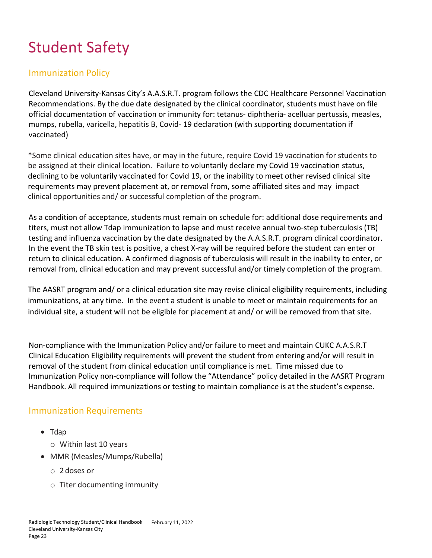# Student Safety

#### Immunization Policy

Cleveland University-Kansas City's A.A.S.R.T. program follows the CDC Healthcare Personnel Vaccination Recommendations. By the due date designated by the clinical coordinator, students must have on file official documentation of vaccination or immunity for: tetanus- diphtheria- acelluar pertussis, measles, mumps, rubella, varicella, hepatitis B, Covid- 19 declaration (with supporting documentation if vaccinated)

\*Some clinical education sites have, or may in the future, require Covid 19 vaccination for students to be assigned at their clinical location. Failure to voluntarily declare my Covid 19 vaccination status, declining to be voluntarily vaccinated for Covid 19, or the inability to meet other revised clinical site requirements may prevent placement at, or removal from, some affiliated sites and may impact clinical opportunities and/ or successful completion of the program.

As a condition of acceptance, students must remain on schedule for: additional dose requirements and titers, must not allow Tdap immunization to lapse and must receive annual two-step tuberculosis (TB) testing and influenza vaccination by the date designated by the A.A.S.R.T. program clinical coordinator. In the event the TB skin test is positive, a chest X-ray will be required before the student can enter or return to clinical education. A confirmed diagnosis of tuberculosis will result in the inability to enter, or removal from, clinical education and may prevent successful and/or timely completion of the program.

The AASRT program and/ or a clinical education site may revise clinical eligibility requirements, including immunizations, at any time. In the event a student is unable to meet or maintain requirements for an individual site, a student will not be eligible for placement at and/ or will be removed from that site.

Non-compliance with the Immunization Policy and/or failure to meet and maintain CUKC A.A.S.R.T Clinical Education Eligibility requirements will prevent the student from entering and/or will result in removal of the student from clinical education until compliance is met. Time missed due to Immunization Policy non-compliance will follow the "Attendance" policy detailed in the AASRT Program Handbook. All required immunizations or testing to maintain compliance is at the student's expense.

#### Immunization Requirements

- Tdap
	- o Within last 10 years
- MMR (Measles/Mumps/Rubella)
	- o 2doses or
	- o Titer documenting immunity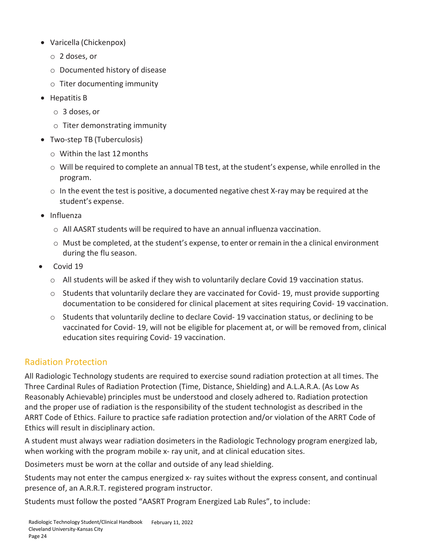- Varicella (Chickenpox)
	- o 2 doses, or
	- o Documented history of disease
	- o Titer documenting immunity
- Hepatitis B
	- o 3 doses, or
	- o Titer demonstrating immunity
- Two-step TB (Tuberculosis)
	- o Within the last 12months
	- o Will be required to complete an annual TB test, at the student's expense, while enrolled in the program.
	- $\circ$  In the event the test is positive, a documented negative chest X-ray may be required at the student's expense.
- Influenza
	- o All AASRT students will be required to have an annual influenza vaccination.
	- $\circ$  Must be completed, at the student's expense, to enter or remain in the a clinical environment during the flu season.
- Covid 19
	- $\circ$  All students will be asked if they wish to voluntarily declare Covid 19 vaccination status.
	- $\circ$  Students that voluntarily declare they are vaccinated for Covid- 19, must provide supporting documentation to be considered for clinical placement at sites requiring Covid- 19 vaccination.
	- $\circ$  Students that voluntarily decline to declare Covid-19 vaccination status, or declining to be vaccinated for Covid- 19, will not be eligible for placement at, or will be removed from, clinical education sites requiring Covid- 19 vaccination.

## Radiation Protection

All Radiologic Technology students are required to exercise sound radiation protection at all times. The Three Cardinal Rules of Radiation Protection (Time, Distance, Shielding) and A.L.A.R.A. (As Low As Reasonably Achievable) principles must be understood and closely adhered to. Radiation protection and the proper use of radiation is the responsibility of the student technologist as described in the ARRT Code of Ethics. Failure to practice safe radiation protection and/or violation of the ARRT Code of Ethics will result in disciplinary action.

A student must always wear radiation dosimeters in the Radiologic Technology program energized lab, when working with the program mobile x- ray unit, and at clinical education sites.

Dosimeters must be worn at the collar and outside of any lead shielding.

Students may not enter the campus energized x- ray suites without the express consent, and continual presence of, an A.R.R.T. registered program instructor.

Students must follow the posted "AASRT Program Energized Lab Rules", to include: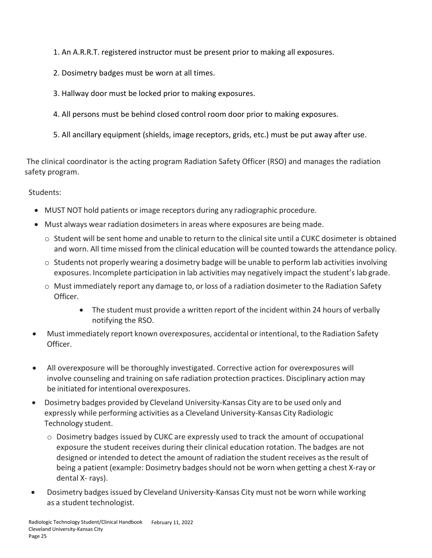- 1. An A.R.R.T. registered instructor must be present prior to making all exposures.
- 2. Dosimetry badges must be worn at all times.
- 3. Hallway door must be locked prior to making exposures.
- 4. All persons must be behind closed control room door prior to making exposures.
- 5. All ancillary equipment (shields, image receptors, grids, etc.) must be put away after use.

The clinical coordinator is the acting program Radiation Safety Officer (RSO) and manages the radiation safety program.

Students:

- MUST NOT hold patients or image receptors during any radiographic procedure.
- Must always wear radiation dosimeters in areas where exposures are being made.
	- o Student will be sent home and unable to return to the clinical site until a CUKC dosimeter is obtained and worn. All time missed from the clinical education will be counted towards the attendance policy.
	- $\circ$  Students not properly wearing a dosimetry badge will be unable to perform lab activities involving exposures. Incomplete participation in lab activities may negatively impact the student's lab grade.
	- o Must immediately report any damage to, or loss of a radiation dosimeter to the Radiation Safety Officer.
		- The student must provide a written report of the incident within 24 hours of verbally notifying the RSO.
- Must immediately report known overexposures, accidental or intentional, to the Radiation Safety Officer.
- All overexposure will be thoroughly investigated. Corrective action for overexposures will involve counseling and training on safe radiation protection practices. Disciplinary action may be initiated for intentional overexposures.
- Dosimetry badges provided by Cleveland University-Kansas City are to be used only and expressly while performing activities as a Cleveland University-Kansas City Radiologic Technology student.
	- o Dosimetry badges issued by CUKC are expressly used to track the amount of occupational exposure the student receives during their clinical education rotation. The badges are not designed or intended to detect the amount of radiation the student receives asthe result of being a patient (example: Dosimetry badges should not be worn when getting a chest X-ray or dental X- rays).
- Dosimetry badges issued by Cleveland University-Kansas City must not be worn while working as a student technologist.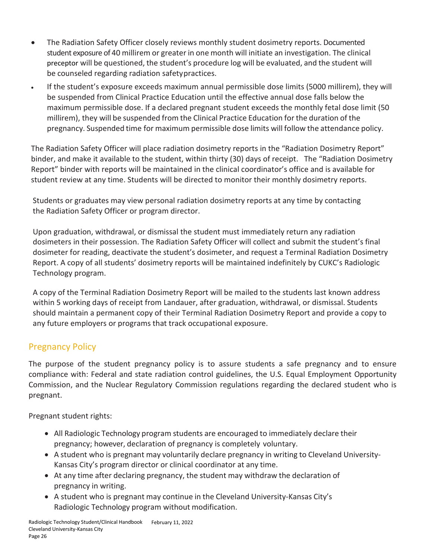- The Radiation Safety Officer closely reviews monthly student dosimetry reports. Documented student exposure of 40 millirem or greater in one month will initiate an investigation. The clinical preceptor will be questioned, the student's procedure log will be evaluated, and the student will be counseled regarding radiation safetypractices.
- If the student's exposure exceeds maximum annual permissible dose limits (5000 millirem), they will be suspended from Clinical Practice Education until the effective annual dose falls below the maximum permissible dose. If a declared pregnant student exceeds the monthly fetal dose limit (50 millirem), they will be suspended from the Clinical Practice Education for the duration of the pregnancy. Suspended time for maximum permissible dose limits will follow the attendance policy.

The Radiation Safety Officer will place radiation dosimetry reports in the "Radiation Dosimetry Report" binder, and make it available to the student, within thirty (30) days of receipt. The "Radiation Dosimetry Report" binder with reports will be maintained in the clinical coordinator's office and is available for student review at any time. Students will be directed to monitor their monthly dosimetry reports.

Students or graduates may view personal radiation dosimetry reports at any time by contacting the Radiation Safety Officer or program director.

Upon graduation, withdrawal, or dismissal the student must immediately return any radiation dosimeters in their possession. The Radiation Safety Officer will collect and submit the student's final dosimeter for reading, deactivate the student's dosimeter, and request a Terminal Radiation Dosimetry Report. A copy of all students' dosimetry reports will be maintained indefinitely by CUKC's Radiologic Technology program.

A copy of the Terminal Radiation Dosimetry Report will be mailed to the students last known address within 5 working days of receipt from Landauer, after graduation, withdrawal, or dismissal. Students should maintain a permanent copy of their Terminal Radiation Dosimetry Report and provide a copy to any future employers or programs that track occupational exposure.

## Pregnancy Policy

The purpose of the student pregnancy policy is to assure students a safe pregnancy and to ensure compliance with: Federal and state radiation control guidelines, the U.S. Equal Employment Opportunity Commission, and the Nuclear Regulatory Commission regulations regarding the declared student who is pregnant.

Pregnant student rights:

- All Radiologic Technology program students are encouraged to immediately declare their pregnancy; however, declaration of pregnancy is completely voluntary.
- A student who is pregnant may voluntarily declare pregnancy in writing to Cleveland University-Kansas City's program director or clinical coordinator at any time.
- At any time after declaring pregnancy, the student may withdraw the declaration of pregnancy in writing.
- A student who is pregnant may continue in the Cleveland University-Kansas City's Radiologic Technology program without modification.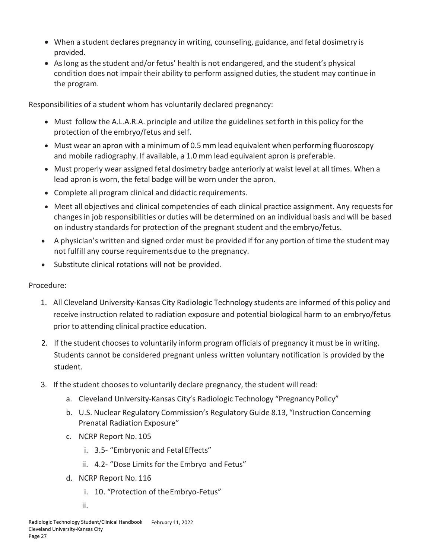- When a student declares pregnancy in writing, counseling, guidance, and fetal dosimetry is provided.
- As long as the student and/or fetus' health is not endangered, and the student's physical condition does not impair their ability to perform assigned duties, the student may continue in the program.

Responsibilities of a student whom has voluntarily declared pregnancy:

- Must follow the A.L.A.R.A. principle and utilize the guidelines set forth in this policy for the protection of the embryo/fetus and self.
- Must wear an apron with a minimum of 0.5 mm lead equivalent when performing fluoroscopy and mobile radiography. If available, a 1.0 mm lead equivalent apron is preferable.
- Must properly wear assigned fetal dosimetry badge anteriorly at waist level at all times. When a lead apron is worn, the fetal badge will be worn under the apron.
- Complete all program clinical and didactic requirements.
- Meet all objectives and clinical competencies of each clinical practice assignment. Any requests for changes in job responsibilities or duties will be determined on an individual basis and will be based on industry standards for protection of the pregnant student and the embryo/fetus.
- A physician's written and signed order must be provided if for any portion of time the student may not fulfill any course requirementsdue to the pregnancy.
- Substitute clinical rotations will not be provided.

#### Procedure:

- 1. All Cleveland University-Kansas City Radiologic Technology students are informed of this policy and receive instruction related to radiation exposure and potential biological harm to an embryo/fetus prior to attending clinical practice education.
- 2. If the student chooses to voluntarily inform program officials of pregnancy it must be in writing. Students cannot be considered pregnant unless written voluntary notification is provided by the student.
- 3. If the student chooses to voluntarily declare pregnancy, the student will read:
	- a. Cleveland University-Kansas City's Radiologic Technology "Pregnancy Policy"
	- b. U.S. Nuclear Regulatory Commission's Regulatory Guide 8.13, "Instruction Concerning Prenatal Radiation Exposure"
	- c. NCRP Report No. 105
		- i. 3.5- "Embryonic and Fetal Effects"
		- ii. 4.2- "Dose Limits for the Embryo and Fetus"
	- d. NCRP Report No. 116
		- i. 10. "Protection of theEmbryo-Fetus"
		- ii.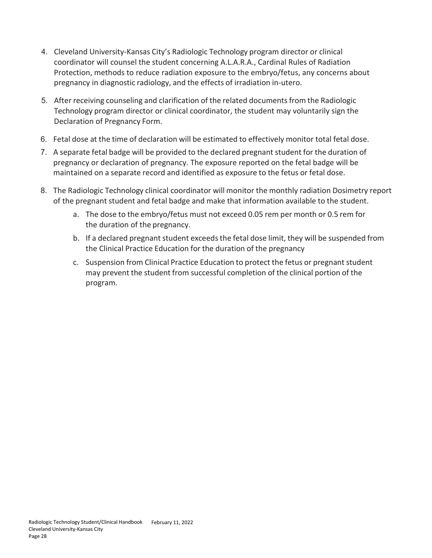- 4. Cleveland University-Kansas City's Radiologic Technology program director or clinical coordinator will counsel the student concerning A.L.A.R.A., Cardinal Rules of Radiation Protection, methods to reduce radiation exposure to the embryo/fetus, any concerns about pregnancy in diagnostic radiology, and the effects of irradiation in-utero.
- 5. After receiving counseling and clarification of the related documents from the Radiologic Technology program director or clinical coordinator, the student may voluntarily sign the Declaration of Pregnancy Form.
- 6. Fetal dose at the time of declaration will be estimated to effectively monitor total fetal dose.
- 7. A separate fetal badge will be provided to the declared pregnant student for the duration of pregnancy or declaration of pregnancy. The exposure reported on the fetal badge will be maintained on a separate record and identified as exposure to the fetus or fetal dose.
- 8. The Radiologic Technology clinical coordinator will monitor the monthly radiation Dosimetry report of the pregnant student and fetal badge and make that information available to the student.
	- a. The dose to the embryo/fetus must not exceed 0.05 rem per month or 0.5 rem for the duration of the pregnancy.
	- b. If a declared pregnant student exceeds the fetal dose limit, they will be suspended from the Clinical Practice Education for the duration of the pregnancy
	- c. Suspension from Clinical Practice Education to protect the fetus or pregnant student may prevent the student from successful completion of the clinical portion of the program.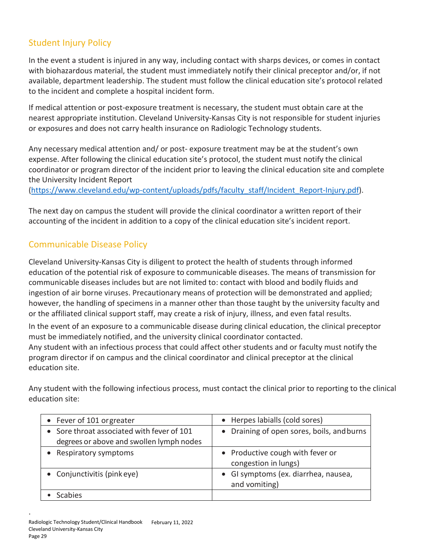## Student Injury Policy

In the event a student is injured in any way, including contact with sharps devices, or comes in contact with biohazardous material, the student must immediately notify their clinical preceptor and/or, if not available, department leadership. The student must follow the clinical education site's protocol related to the incident and complete a hospital incident form.

If medical attention or post-exposure treatment is necessary, the student must obtain care at the nearest appropriate institution. Cleveland University-Kansas City is not responsible for student injuries or exposures and does not carry health insurance on Radiologic Technology students.

Any necessary medical attention and/ or post- exposure treatment may be at the student's own expense. After following the clinical education site's protocol, the student must notify the clinical coordinator or program director of the incident prior to leaving the clinical education site and complete the University Incident Report

[\(https://www.cleveland.edu/wp-content/uploads/pdfs/faculty\\_staff/Incident\\_Report-Injury.pdf\)](https://www.cleveland.edu/wp-content/uploads/pdfs/faculty_staff/Incident_Report-Injury.pdf).

The next day on campus the student will provide the clinical coordinator a written report of their accounting of the incident in addition to a copy of the clinical education site's incident report.

## Communicable Disease Policy

Cleveland University-Kansas City is diligent to protect the health of students through informed education of the potential risk of exposure to communicable diseases. The means of transmission for communicable diseases includes but are not limited to: contact with blood and bodily fluids and ingestion of air borne viruses. Precautionary means of protection will be demonstrated and applied; however, the handling of specimens in a manner other than those taught by the university faculty and or the affiliated clinical support staff, may create a risk of injury, illness, and even fatal results.

In the event of an exposure to a communicable disease during clinical education, the clinical preceptor must be immediately notified, and the university clinical coordinator contacted. Any student with an infectious process that could affect other students and or faculty must notify the program director if on campus and the clinical coordinator and clinical preceptor at the clinical education site.

Any student with the following infectious process, must contact the clinical prior to reporting to the clinical education site:

| • Fever of 101 orgreater                                                               | • Herpes labialls (cold sores)                           |
|----------------------------------------------------------------------------------------|----------------------------------------------------------|
| • Sore throat associated with fever of 101<br>degrees or above and swollen lymph nodes | • Draining of open sores, boils, and burns               |
| • Respiratory symptoms                                                                 | • Productive cough with fever or<br>congestion in lungs) |
| • Conjunctivitis (pinkeye)                                                             | • GI symptoms (ex. diarrhea, nausea,<br>and vomiting)    |
| Scabies                                                                                |                                                          |

.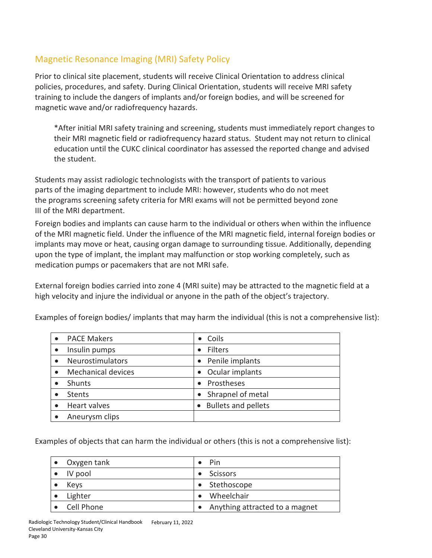# Magnetic Resonance Imaging (MRI) Safety Policy

Prior to clinical site placement, students will receive Clinical Orientation to address clinical policies, procedures, and safety. During Clinical Orientation, students will receive MRI safety training to include the dangers of implants and/or foreign bodies, and will be screened for magnetic wave and/or radiofrequency hazards.

\*After initial MRI safety training and screening, students must immediately report changes to their MRI magnetic field or radiofrequency hazard status. Student may not return to clinical education until the CUKC clinical coordinator has assessed the reported change and advised the student.

Students may assist radiologic technologists with the transport of patients to various parts of the imaging department to include MRI: however, students who do not meet the programs screening safety criteria for MRI exams will not be permitted beyond zone III of the MRI department.

Foreign bodies and implants can cause harm to the individual or others when within the influence of the MRI magnetic field. Under the influence of the MRI magnetic field, internal foreign bodies or implants may move or heat, causing organ damage to surrounding tissue. Additionally, depending upon the type of implant, the implant may malfunction or stop working completely, such as medication pumps or pacemakers that are not MRI safe.

External foreign bodies carried into zone 4 (MRI suite) may be attracted to the magnetic field at a high velocity and injure the individual or anyone in the path of the object's trajectory.

| <b>PACE Makers</b>        | Coils                      |
|---------------------------|----------------------------|
| Insulin pumps             | <b>Filters</b>             |
| Neurostimulators          | Penile implants            |
| <b>Mechanical devices</b> | Ocular implants            |
| Shunts                    | Prostheses                 |
| <b>Stents</b>             | Shrapnel of metal          |
| Heart valves              | <b>Bullets and pellets</b> |
| Aneurysm clips            |                            |
|                           |                            |

Examples of foreign bodies/ implants that may harm the individual (this is not a comprehensive list):

Examples of objects that can harm the individual or others (this is not a comprehensive list):

| Oxygen tank | Pin                            |
|-------------|--------------------------------|
| IV pool     | <b>Scissors</b>                |
| Keys        | • Stethoscope                  |
| Lighter     | Wheelchair                     |
| Cell Phone  | Anything attracted to a magnet |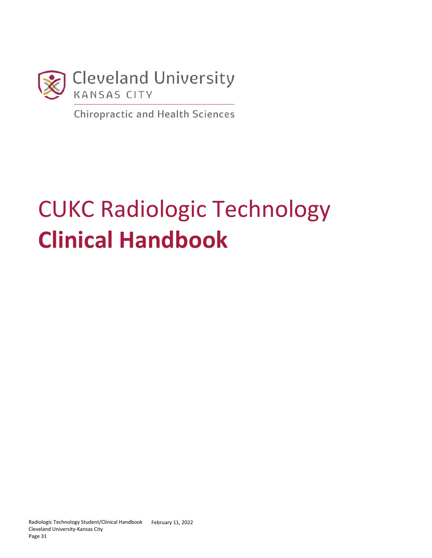

**Chiropractic and Health Sciences** 

# CUKC Radiologic Technology **Clinical Handbook**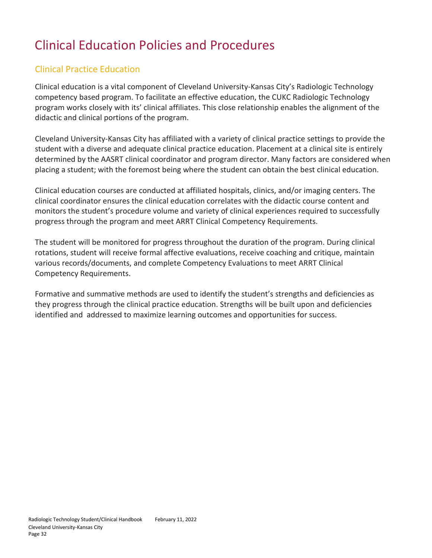# Clinical Education Policies and Procedures

# Clinical Practice Education

Clinical education is a vital component of Cleveland University-Kansas City's Radiologic Technology competency based program. To facilitate an effective education, the CUKC Radiologic Technology program works closely with its' clinical affiliates. This close relationship enables the alignment of the didactic and clinical portions of the program.

Cleveland University-Kansas City has affiliated with a variety of clinical practice settings to provide the student with a diverse and adequate clinical practice education. Placement at a clinical site is entirely determined by the AASRT clinical coordinator and program director. Many factors are considered when placing a student; with the foremost being where the student can obtain the best clinical education.

Clinical education courses are conducted at affiliated hospitals, clinics, and/or imaging centers. The clinical coordinator ensures the clinical education correlates with the didactic course content and monitors the student's procedure volume and variety of clinical experiences required to successfully progress through the program and meet ARRT Clinical Competency Requirements.

The student will be monitored for progress throughout the duration of the program. During clinical rotations, student will receive formal affective evaluations, receive coaching and critique, maintain various records/documents, and complete Competency Evaluations to meet ARRT Clinical Competency Requirements.

Formative and summative methods are used to identify the student's strengths and deficiencies as they progress through the clinical practice education. Strengths will be built upon and deficiencies identified and addressed to maximize learning outcomes and opportunities for success.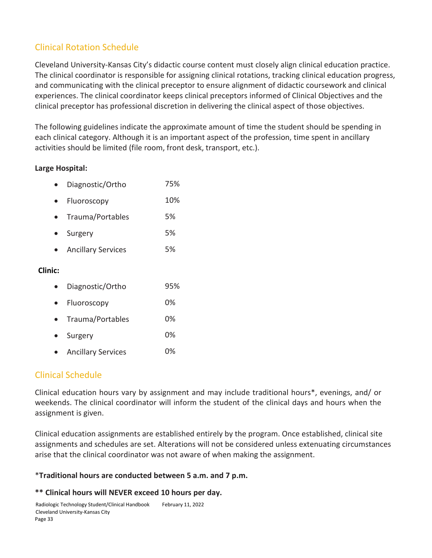# Clinical Rotation Schedule

Cleveland University-Kansas City's didactic course content must closely align clinical education practice. The clinical coordinator is responsible for assigning clinical rotations, tracking clinical education progress, and communicating with the clinical preceptor to ensure alignment of didactic coursework and clinical experiences. The clinical coordinator keeps clinical preceptors informed of Clinical Objectives and the clinical preceptor has professional discretion in delivering the clinical aspect of those objectives.

The following guidelines indicate the approximate amount of time the student should be spending in each clinical category. Although it is an important aspect of the profession, time spent in ancillary activities should be limited (file room, front desk, transport, etc.).

#### **Large Hospital:**

|  | Diagnostic/Ortho | 75% |
|--|------------------|-----|
|--|------------------|-----|

- Fluoroscopy 10%
- Trauma/Portables 5%
- Surgery 5%
- Ancillary Services 5%

#### **Clinic:**

| Diagnostic/Ortho | 95% |
|------------------|-----|
|                  |     |

- Fluoroscopy 0%
- Trauma/Portables 0%
- Surgery 0%
- Ancillary Services 0%

## Clinical Schedule

Clinical education hours vary by assignment and may include traditional hours\*, evenings, and/ or weekends. The clinical coordinator will inform the student of the clinical days and hours when the assignment is given.

Clinical education assignments are established entirely by the program. Once established, clinical site assignments and schedules are set. Alterations will not be considered unless extenuating circumstances arise that the clinical coordinator was not aware of when making the assignment.

#### \***Traditional hours are conducted between 5 a.m. and 7 p.m.**

#### **\*\* Clinical hours will NEVER exceed 10 hours per day.**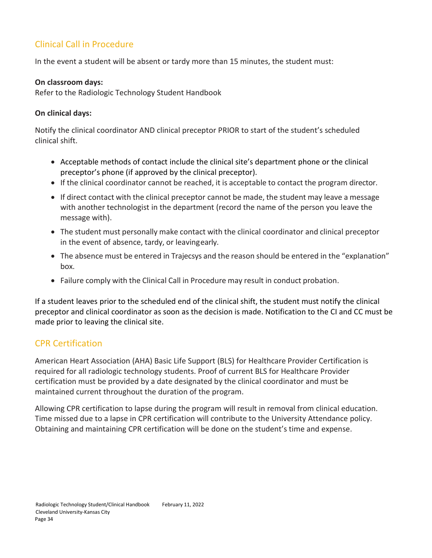# Clinical Call in Procedure

In the event a student will be absent or tardy more than 15 minutes, the student must:

#### **On classroom days:**

Refer to the Radiologic Technology Student Handbook

#### **On clinical days:**

Notify the clinical coordinator AND clinical preceptor PRIOR to start of the student's scheduled clinical shift.

- Acceptable methods of contact include the clinical site's department phone or the clinical preceptor's phone (if approved by the clinical preceptor).
- If the clinical coordinator cannot be reached, it is acceptable to contact the program director.
- If direct contact with the clinical preceptor cannot be made, the student may leave a message with another technologist in the department (record the name of the person you leave the message with).
- The student must personally make contact with the clinical coordinator and clinical preceptor in the event of absence, tardy, or leavingearly.
- The absence must be entered in Trajecsys and the reason should be entered in the "explanation" box.
- Failure comply with the Clinical Call in Procedure may result in conduct probation.

If a student leaves prior to the scheduled end of the clinical shift, the student must notify the clinical preceptor and clinical coordinator as soon as the decision is made. Notification to the CI and CC must be made prior to leaving the clinical site.

## CPR Certification

American Heart Association (AHA) Basic Life Support (BLS) for Healthcare Provider Certification is required for all radiologic technology students. Proof of current BLS for Healthcare Provider certification must be provided by a date designated by the clinical coordinator and must be maintained current throughout the duration of the program.

Allowing CPR certification to lapse during the program will result in removal from clinical education. Time missed due to a lapse in CPR certification will contribute to the University Attendance policy. Obtaining and maintaining CPR certification will be done on the student's time and expense.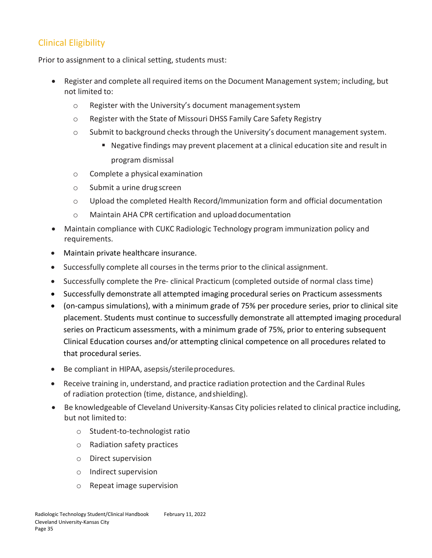# Clinical Eligibility

Prior to assignment to a clinical setting, students must:

- Register and complete all required items on the Document Management system; including, but not limited to:
	- o Register with the University's document managementsystem
	- o Register with the State of Missouri DHSS Family Care Safety Registry
	- $\circ$  Submit to background checks through the University's document management system.
		- Negative findings may prevent placement at a clinical education site and result in program dismissal
	- o Complete a physical examination
	- o Submit a urine drug screen
	- o Upload the completed Health Record/Immunization form and official documentation
	- o Maintain AHA CPR certification and uploaddocumentation
- Maintain compliance with CUKC Radiologic Technology program immunization policy and requirements.
- Maintain private healthcare insurance.
- Successfully complete all courses in the terms prior to the clinical assignment.
- Successfully complete the Pre- clinical Practicum (completed outside of normal class time)
- Successfully demonstrate all attempted imaging procedural series on Practicum assessments
- (on-campus simulations), with a minimum grade of 75% per procedure series, prior to clinical site placement. Students must continue to successfully demonstrate all attempted imaging procedural series on Practicum assessments, with a minimum grade of 75%, prior to entering subsequent Clinical Education courses and/or attempting clinical competence on all procedures related to that procedural series.
- Be compliant in HIPAA, asepsis/sterileprocedures.
- Receive training in, understand, and practice radiation protection and the Cardinal Rules of radiation protection (time, distance, andshielding).
- Be knowledgeable of Cleveland University-Kansas City policies related to clinical practice including, but not limited to:
	- o Student-to-technologist ratio
	- o Radiation safety practices
	- o Direct supervision
	- o Indirect supervision
	- o Repeat image supervision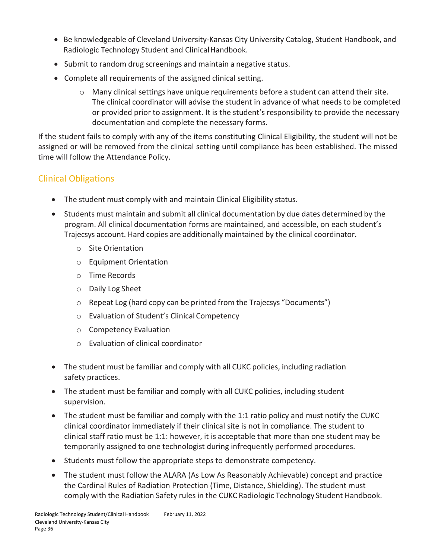- Be knowledgeable of Cleveland University-Kansas City University Catalog, Student Handbook, and Radiologic Technology Student and Clinical Handbook.
- Submit to random drug screenings and maintain a negative status.
- Complete all requirements of the assigned clinical setting.
	- $\circ$  Many clinical settings have unique requirements before a student can attend their site. The clinical coordinator will advise the student in advance of what needs to be completed or provided prior to assignment. It is the student's responsibility to provide the necessary documentation and complete the necessary forms.

If the student fails to comply with any of the items constituting Clinical Eligibility, the student will not be assigned or will be removed from the clinical setting until compliance has been established. The missed time will follow the Attendance Policy.

# Clinical Obligations

- The student must comply with and maintain Clinical Eligibility status.
- Students must maintain and submit all clinical documentation by due dates determined by the program. All clinical documentation forms are maintained, and accessible, on each student's Trajecsys account. Hard copies are additionally maintained by the clinical coordinator.
	- o Site Orientation
	- o Equipment Orientation
	- o Time Records
	- o Daily Log Sheet
	- o Repeat Log (hard copy can be printed from the Trajecsys "Documents")
	- o Evaluation of Student's Clinical Competency
	- o Competency Evaluation
	- o Evaluation of clinical coordinator
- The student must be familiar and comply with all CUKC policies, including radiation safety practices.
- The student must be familiar and comply with all CUKC policies, including student supervision.
- The student must be familiar and comply with the 1:1 ratio policy and must notify the CUKC clinical coordinator immediately if their clinical site is not in compliance. The student to clinical staff ratio must be 1:1: however, it is acceptable that more than one student may be temporarily assigned to one technologist during infrequently performed procedures.
- Students must follow the appropriate steps to demonstrate competency.
- The student must follow the ALARA (As Low As Reasonably Achievable) concept and practice the Cardinal Rules of Radiation Protection (Time, Distance, Shielding). The student must comply with the Radiation Safety rules in the CUKC Radiologic Technology Student Handbook.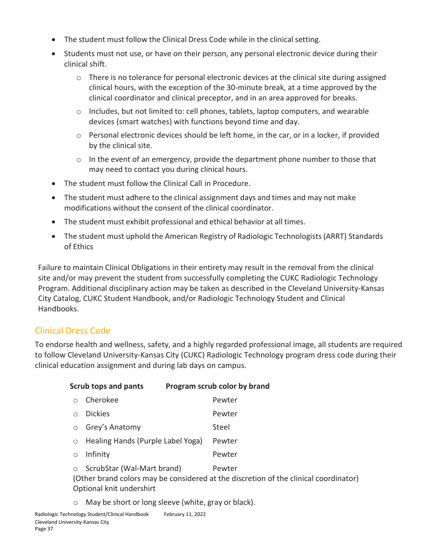- The student must follow the Clinical Dress Code while in the clinical setting.
- Students must not use, or have on their person, any personal electronic device during their clinical shift.
	- o There is no tolerance for personal electronic devices at the clinical site during assigned clinical hours, with the exception of the 30-minute break, at a time approved by the clinical coordinator and clinical preceptor, and in an area approved for breaks.
	- $\circ$  Includes, but not limited to: cell phones, tablets, laptop computers, and wearable devices (smart watches) with functions beyond time and day.
	- o Personal electronic devices should be left home, in the car, or in a locker, if provided by the clinical site.
	- $\circ$  In the event of an emergency, provide the department phone number to those that may need to contact you during clinical hours.
- The student must follow the Clinical Call in Procedure.
- The student must adhere to the clinical assignment days and times and may not make modifications without the consent of the clinical coordinator.
- The student must exhibit professional and ethical behavior at all times.
- The student must uphold the American Registry of Radiologic Technologists(ARRT) Standards of Ethics

Failure to maintain Clinical Obligations in their entirety may result in the removal from the clinical site and/or may prevent the student from successfully completing the CUKC Radiologic Technology Program. Additional disciplinary action may be taken as described in the Cleveland University-Kansas City Catalog, CUKC Student Handbook, and/or Radiologic Technology Student and Clinical Handbooks.

# Clinical Dress Code

To endorse health and wellness, safety, and a highly regarded professional image, all students are required to follow Cleveland University-Kansas City (CUKC) Radiologic Technology program dress code during their clinical education assignment and during lab days on campus.

| <b>Scrub tops and pants</b><br>Program scrub color by brand                                                                                                         |                                   |  |        |
|---------------------------------------------------------------------------------------------------------------------------------------------------------------------|-----------------------------------|--|--------|
| ∩                                                                                                                                                                   | Cherokee                          |  | Pewter |
| ∩                                                                                                                                                                   | <b>Dickies</b>                    |  | Pewter |
| $\circ$                                                                                                                                                             | Grey's Anatomy                    |  | Steel  |
| $\circ$                                                                                                                                                             | Healing Hands (Purple Label Yoga) |  | Pewter |
| $\circ$                                                                                                                                                             | Infinity                          |  | Pewter |
| ScrubStar (Wal-Mart brand)<br>Pewter<br>$\circ$<br>(Other brand colors may be considered at the discretion of the clinical coordinator)<br>Optional knit undershirt |                                   |  |        |

o May be short or long sleeve (white, gray or black).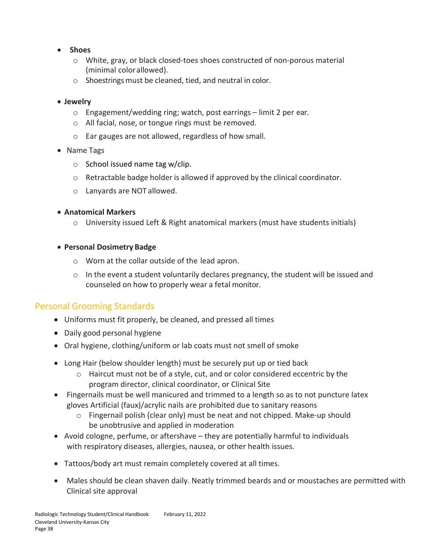- **Shoes**
	- o White, gray, or black closed-toes shoes constructed of non-porous material (minimal colorallowed).
	- $\circ$  Shoestrings must be cleaned, tied, and neutral in color.
- **Jewelry**
	- o Engagement/wedding ring; watch, post earrings limit 2 per ear.
	- o All facial, nose, or tongue rings must be removed.
	- o Ear gauges are not allowed, regardless of how small.
- Name Tags
	- $\circ$  School issued name tag w/clip.
	- $\circ$  Retractable badge holder is allowed if approved by the clinical coordinator.
	- o Lanyards are NOT allowed.
- **Anatomical Markers**
	- $\circ$  University issued Left & Right anatomical markers (must have students initials)
- **Personal Dosimetry Badge**
	- o Worn at the collar outside of the lead apron.
	- o In the event a student voluntarily declares pregnancy, the student will be issued and counseled on how to properly wear a fetal monitor.

#### Personal Grooming Standards

- Uniforms must fit properly, be cleaned, and pressed all times
- Daily good personal hygiene
- Oral hygiene, clothing/uniform or lab coats must not smell of smoke
- Long Hair (below shoulder length) must be securely put up or tied back
	- $\circ$  Haircut must not be of a style, cut, and or color considered eccentric by the program director, clinical coordinator, or Clinical Site
- Fingernails must be well manicured and trimmed to a length so as to not puncture latex gloves Artificial (faux)/acrylic nails are prohibited due to sanitary reasons
	- o Fingernail polish (clear only) must be neat and not chipped. Make-up should be unobtrusive and applied in moderation
- Avoid cologne, perfume, or aftershave they are potentially harmful to individuals with respiratory diseases, allergies, nausea, or other health issues.
- Tattoos/body art must remain completely covered at all times.
- Males should be clean shaven daily. Neatly trimmed beards and or moustaches are permitted with Clinical site approval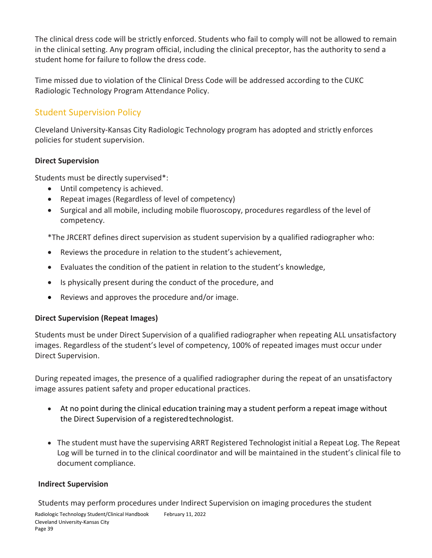The clinical dress code will be strictly enforced. Students who fail to comply will not be allowed to remain in the clinical setting. Any program official, including the clinical preceptor, has the authority to send a student home for failure to follow the dress code.

Time missed due to violation of the Clinical Dress Code will be addressed according to the CUKC Radiologic Technology Program Attendance Policy.

# Student Supervision Policy

Cleveland University-Kansas City Radiologic Technology program has adopted and strictly enforces policies for student supervision.

#### **Direct Supervision**

Students must be directly supervised\*:

- Until competency is achieved.
- Repeat images (Regardless of level of competency)
- Surgical and all mobile, including mobile fluoroscopy, procedures regardless of the level of competency.

\*The JRCERT defines direct supervision as student supervision by a qualified radiographer who:

- Reviews the procedure in relation to the student's achievement,
- Evaluates the condition of the patient in relation to the student's knowledge,
- Is physically present during the conduct of the procedure, and
- Reviews and approves the procedure and/or image.

#### **Direct Supervision (Repeat Images)**

Students must be under Direct Supervision of a qualified radiographer when repeating ALL unsatisfactory images. Regardless of the student's level of competency, 100% of repeated images must occur under Direct Supervision.

During repeated images, the presence of a qualified radiographer during the repeat of an unsatisfactory image assures patient safety and proper educational practices.

- At no point during the clinical education training may a student perform a repeat image without the Direct Supervision of a registeredtechnologist.
- The student must have the supervising ARRT Registered Technologist initial a Repeat Log. The Repeat Log will be turned in to the clinical coordinator and will be maintained in the student's clinical file to document compliance.

#### **Indirect Supervision**

Students may perform procedures under Indirect Supervision on imaging procedures the student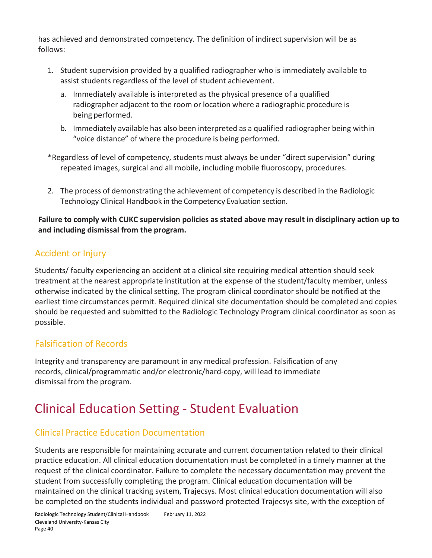has achieved and demonstrated competency. The definition of indirect supervision will be as follows:

- 1. Student supervision provided by a qualified radiographer who is immediately available to assist students regardless of the level of student achievement.
	- a. Immediately available is interpreted as the physical presence of a qualified radiographer adjacent to the room or location where a radiographic procedure is being performed.
	- b. Immediately available has also been interpreted as a qualified radiographer being within "voice distance" of where the procedure is being performed.

\*Regardless of level of competency, students must always be under "direct supervision" during repeated images, surgical and all mobile, including mobile fluoroscopy, procedures.

2. The process of demonstrating the achievement of competency is described in the Radiologic Technology Clinical Handbook in the Competency Evaluation section.

#### **Failure to comply with CUKC supervision policies as stated above may result in disciplinary action up to and including dismissal from the program.**

# Accident or Injury

Students/ faculty experiencing an accident at a clinical site requiring medical attention should seek treatment at the nearest appropriate institution at the expense of the student/faculty member, unless otherwise indicated by the clinical setting. The program clinical coordinator should be notified at the earliest time circumstances permit. Required clinical site documentation should be completed and copies should be requested and submitted to the Radiologic Technology Program clinical coordinator as soon as possible.

# Falsification of Records

Integrity and transparency are paramount in any medical profession. Falsification of any records, clinical/programmatic and/or electronic/hard-copy, will lead to immediate dismissal from the program.

# Clinical Education Setting - Student Evaluation

## Clinical Practice Education Documentation

Students are responsible for maintaining accurate and current documentation related to their clinical practice education. All clinical education documentation must be completed in a timely manner at the request of the clinical coordinator. Failure to complete the necessary documentation may prevent the student from successfully completing the program. Clinical education documentation will be maintained on the clinical tracking system, Trajecsys. Most clinical education documentation will also be completed on the students individual and password protected Trajecsys site, with the exception of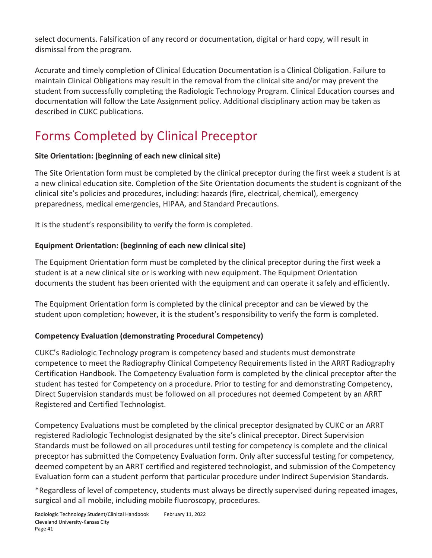select documents. Falsification of any record or documentation, digital or hard copy, will result in dismissal from the program.

Accurate and timely completion of Clinical Education Documentation is a Clinical Obligation. Failure to maintain Clinical Obligations may result in the removal from the clinical site and/or may prevent the student from successfully completing the Radiologic Technology Program. Clinical Education courses and documentation will follow the Late Assignment policy. Additional disciplinary action may be taken as described in CUKC publications.

# Forms Completed by Clinical Preceptor

#### **Site Orientation: (beginning of each new clinical site)**

The Site Orientation form must be completed by the clinical preceptor during the first week a student is at a new clinical education site. Completion of the Site Orientation documents the student is cognizant of the clinical site's policies and procedures, including: hazards (fire, electrical, chemical), emergency preparedness, medical emergencies, HIPAA, and Standard Precautions.

It is the student's responsibility to verify the form is completed.

#### **Equipment Orientation: (beginning of each new clinical site)**

The Equipment Orientation form must be completed by the clinical preceptor during the first week a student is at a new clinical site or is working with new equipment. The Equipment Orientation documents the student has been oriented with the equipment and can operate it safely and efficiently.

The Equipment Orientation form is completed by the clinical preceptor and can be viewed by the student upon completion; however, it is the student's responsibility to verify the form is completed.

#### **Competency Evaluation (demonstrating Procedural Competency)**

CUKC's Radiologic Technology program is competency based and students must demonstrate competence to meet the Radiography Clinical Competency Requirements listed in the ARRT Radiography Certification Handbook. The Competency Evaluation form is completed by the clinical preceptor after the student has tested for Competency on a procedure. Prior to testing for and demonstrating Competency, Direct Supervision standards must be followed on all procedures not deemed Competent by an ARRT Registered and Certified Technologist.

Competency Evaluations must be completed by the clinical preceptor designated by CUKC or an ARRT registered Radiologic Technologist designated by the site's clinical preceptor. Direct Supervision Standards must be followed on all procedures until testing for competency is complete and the clinical preceptor has submitted the Competency Evaluation form. Only after successful testing for competency, deemed competent by an ARRT certified and registered technologist, and submission of the Competency Evaluation form can a student perform that particular procedure under Indirect Supervision Standards.

\*Regardless of level of competency, students must always be directly supervised during repeated images, surgical and all mobile, including mobile fluoroscopy, procedures.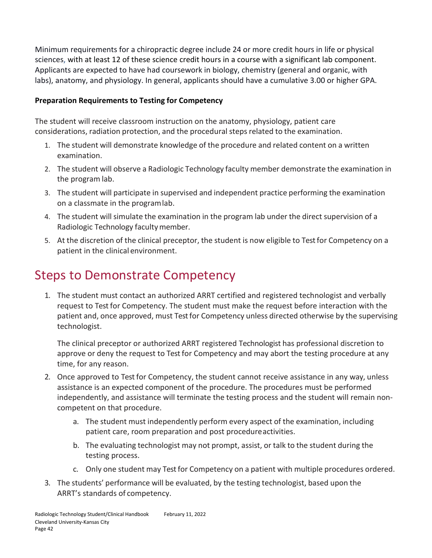Minimum requirements for a chiropractic degree include 24 or more credit hours in life or physical sciences, with at least 12 of these science credit hours in a course with a significant lab component. Applicants are expected to have had coursework in biology, chemistry (general and organic, with labs), anatomy, and physiology. In general, applicants should have a cumulative 3.00 or higher GPA.

#### **Preparation Requirements to Testing for Competency**

The student will receive classroom instruction on the anatomy, physiology, patient care considerations, radiation protection, and the procedural stepsrelated to the examination.

- 1. The student will demonstrate knowledge of the procedure and related content on a written examination.
- 2. The student will observe a Radiologic Technology faculty member demonstrate the examination in the program lab.
- 3. The student will participate in supervised and independent practice performing the examination on a classmate in the programlab.
- 4. The student will simulate the examination in the program lab under the direct supervision of a Radiologic Technology facultymember.
- 5. At the discretion of the clinical preceptor, the student is now eligible to Test for Competency on a patient in the clinical environment.

# Steps to Demonstrate Competency

1. The student must contact an authorized ARRT certified and registered technologist and verbally request to Test for Competency. The student must make the request before interaction with the patient and, once approved, must Testfor Competency unless directed otherwise by the supervising technologist.

The clinical preceptor or authorized ARRT registered Technologist has professional discretion to approve or deny the request to Test for Competency and may abort the testing procedure at any time, for any reason.

- 2. Once approved to Test for Competency, the student cannot receive assistance in any way, unless assistance is an expected component of the procedure. The procedures must be performed independently, and assistance will terminate the testing process and the student will remain noncompetent on that procedure.
	- a. The student must independently perform every aspect of the examination, including patient care, room preparation and post procedureactivities.
	- b. The evaluating technologist may not prompt, assist, or talk to the student during the testing process.
	- c. Only one student may Test for Competency on a patient with multiple procedures ordered.
- 3. The students' performance will be evaluated, by the testing technologist, based upon the ARRT's standards of competency.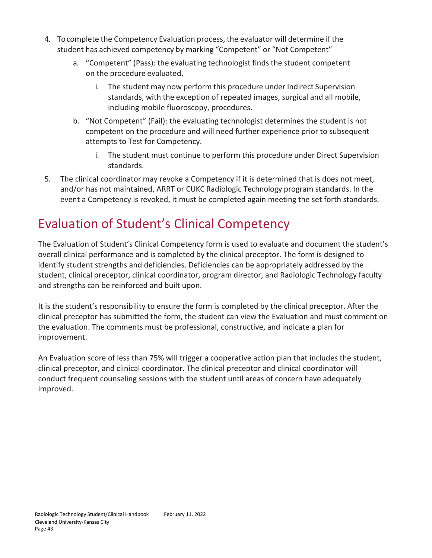- 4. Tocomplete the Competency Evaluation process, the evaluator will determine if the student has achieved competency by marking "Competent" or "Not Competent"
	- a. "Competent" (Pass): the evaluating technologist finds the student competent on the procedure evaluated.
		- i. The student may now perform this procedure under Indirect Supervision standards, with the exception of repeated images, surgical and all mobile, including mobile fluoroscopy, procedures.
	- b. "Not Competent" (Fail): the evaluating technologist determines the student is not competent on the procedure and will need further experience prior to subsequent attempts to Test for Competency.
		- i. The student must continue to perform this procedure under Direct Supervision standards.
- 5. The clinical coordinator may revoke a Competency if it is determined that is does not meet, and/or has not maintained, ARRT or CUKC Radiologic Technology program standards. In the event a Competency is revoked, it must be completed again meeting the set forth standards.

# Evaluation of Student's Clinical Competency

The Evaluation of Student's Clinical Competency form is used to evaluate and document the student's overall clinical performance and is completed by the clinical preceptor. The form is designed to identify student strengths and deficiencies. Deficiencies can be appropriately addressed by the student, clinical preceptor, clinical coordinator, program director, and Radiologic Technology faculty and strengths can be reinforced and built upon.

It is the student's responsibility to ensure the form is completed by the clinical preceptor. After the clinical preceptor has submitted the form, the student can view the Evaluation and must comment on the evaluation. The comments must be professional, constructive, and indicate a plan for improvement.

An Evaluation score of less than 75% will trigger a cooperative action plan that includes the student, clinical preceptor, and clinical coordinator. The clinical preceptor and clinical coordinator will conduct frequent counseling sessions with the student until areas of concern have adequately improved.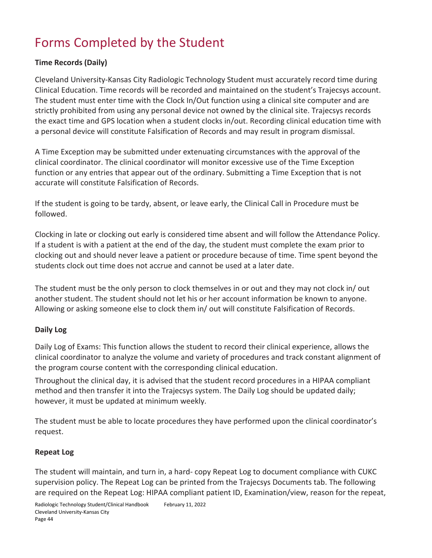# Forms Completed by the Student

#### **Time Records (Daily)**

Cleveland University-Kansas City Radiologic Technology Student must accurately record time during Clinical Education. Time records will be recorded and maintained on the student's Trajecsys account. The student must enter time with the Clock In/Out function using a clinical site computer and are strictly prohibited from using any personal device not owned by the clinical site. Trajecsys records the exact time and GPS location when a student clocks in/out. Recording clinical education time with a personal device will constitute Falsification of Records and may result in program dismissal.

A Time Exception may be submitted under extenuating circumstances with the approval of the clinical coordinator. The clinical coordinator will monitor excessive use of the Time Exception function or any entries that appear out of the ordinary. Submitting a Time Exception that is not accurate will constitute Falsification of Records.

If the student is going to be tardy, absent, or leave early, the Clinical Call in Procedure must be followed.

Clocking in late or clocking out early is considered time absent and will follow the Attendance Policy. If a student is with a patient at the end of the day, the student must complete the exam prior to clocking out and should never leave a patient or procedure because of time. Time spent beyond the students clock out time does not accrue and cannot be used at a later date.

The student must be the only person to clock themselves in or out and they may not clock in/ out another student. The student should not let his or her account information be known to anyone. Allowing or asking someone else to clock them in/ out will constitute Falsification of Records.

#### **Daily Log**

Daily Log of Exams: This function allows the student to record their clinical experience, allows the clinical coordinator to analyze the volume and variety of procedures and track constant alignment of the program course content with the corresponding clinical education.

Throughout the clinical day, it is advised that the student record procedures in a HIPAA compliant method and then transfer it into the Trajecsys system. The Daily Log should be updated daily; however, it must be updated at minimum weekly.

The student must be able to locate procedures they have performed upon the clinical coordinator's request.

#### **Repeat Log**

The student will maintain, and turn in, a hard- copy Repeat Log to document compliance with CUKC supervision policy. The Repeat Log can be printed from the Trajecsys Documents tab. The following are required on the Repeat Log: HIPAA compliant patient ID, Examination/view, reason for the repeat,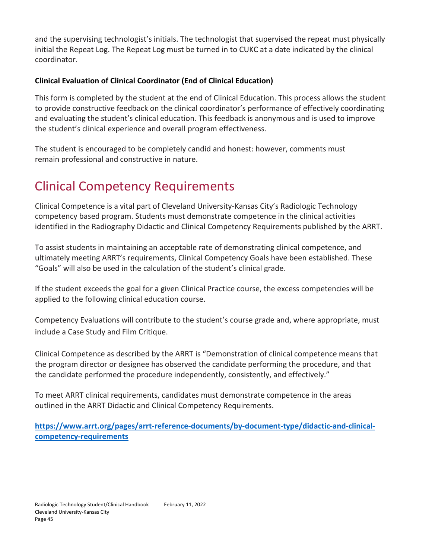and the supervising technologist's initials. The technologist that supervised the repeat must physically initial the Repeat Log. The Repeat Log must be turned in to CUKC at a date indicated by the clinical coordinator.

#### **Clinical Evaluation of Clinical Coordinator (End of Clinical Education)**

This form is completed by the student at the end of Clinical Education. This process allows the student to provide constructive feedback on the clinical coordinator's performance of effectively coordinating and evaluating the student's clinical education. This feedback is anonymous and is used to improve the student's clinical experience and overall program effectiveness.

The student is encouraged to be completely candid and honest: however, comments must remain professional and constructive in nature.

# Clinical Competency Requirements

Clinical Competence is a vital part of Cleveland University-Kansas City's Radiologic Technology competency based program. Students must demonstrate competence in the clinical activities identified in the Radiography Didactic and Clinical Competency Requirements published by the ARRT.

To assist students in maintaining an acceptable rate of demonstrating clinical competence, and ultimately meeting ARRT's requirements, Clinical Competency Goals have been established. These "Goals" will also be used in the calculation of the student's clinical grade.

If the student exceeds the goal for a given Clinical Practice course, the excess competencies will be applied to the following clinical education course.

Competency Evaluations will contribute to the student's course grade and, where appropriate, must include a Case Study and Film Critique.

Clinical Competence as described by the ARRT is "Demonstration of clinical competence means that the program director or designee has observed the candidate performing the procedure, and that the candidate performed the procedure independently, consistently, and effectively."

To meet ARRT clinical requirements, candidates must demonstrate competence in the areas outlined in the ARRT Didactic and Clinical Competency Requirements.

**[https://www.arrt.org/pages/arrt-reference-documents/by-document-type/didactic-and-clinical](https://www.arrt.org/pages/arrt-reference-documents/by-document-type/didactic-and-clinical-competency-requirements)[competency-requirements](https://www.arrt.org/pages/arrt-reference-documents/by-document-type/didactic-and-clinical-competency-requirements)**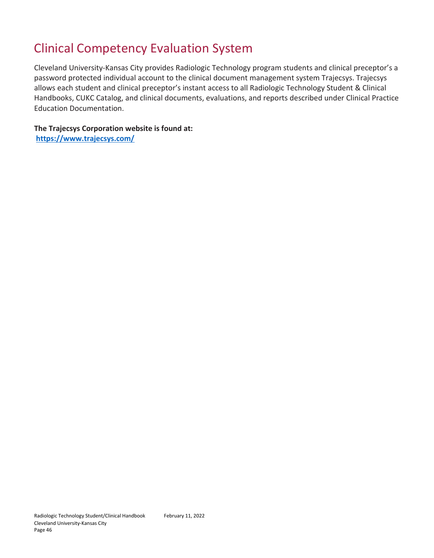# Clinical Competency Evaluation System

Cleveland University-Kansas City provides Radiologic Technology program students and clinical preceptor's a password protected individual account to the clinical document management system Trajecsys. Trajecsys allows each student and clinical preceptor's instant access to all Radiologic Technology Student & Clinical Handbooks, CUKC Catalog, and clinical documents, evaluations, and reports described under Clinical Practice Education Documentation.

**The Trajecsys Corporation website is found at: <https://www.trajecsys.com/>**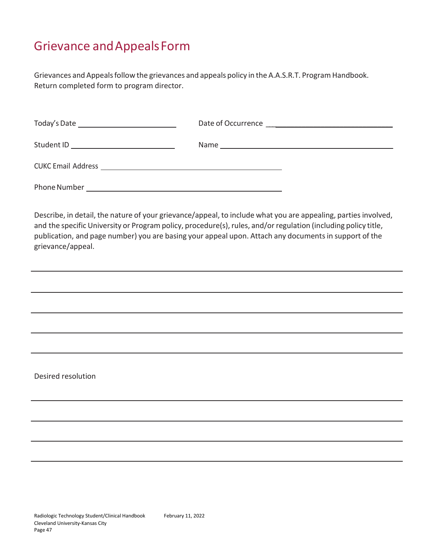# Grievance andAppealsForm

Grievances and Appealsfollow the grievances and appeals policy in the A.A.S.R.T. Program Handbook. Return completed form to program director.

| Today's Date _________________________________ | Date of Occurrence                                                       |
|------------------------------------------------|--------------------------------------------------------------------------|
| Student ID                                     | Name<br><u> 1989 - Johann John Stone, Amerikaansk politiker († 1908)</u> |
|                                                |                                                                          |
| Phone Number                                   |                                                                          |

Describe, in detail, the nature of your grievance/appeal, to include what you are appealing, parties involved, and the specific University or Program policy, procedure(s), rules, and/or regulation (including policy title, publication, and page number) you are basing your appeal upon. Attach any documents in support of the grievance/appeal.

Desired resolution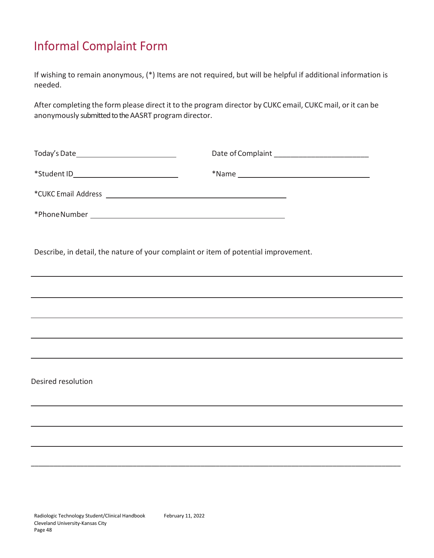# Informal Complaint Form

If wishing to remain anonymous, (\*) Items are not required, but will be helpful if additional information is needed.

After completing the form please direct it to the program director by CUKC email, CUKC mail, or it can be anonymously submitted to the AASRT program director.

| Today's Date_______________________________ | Date of Complaint ___________________________ |
|---------------------------------------------|-----------------------------------------------|
| *Student ID________________________________ |                                               |
|                                             |                                               |
|                                             |                                               |

\_\_\_\_\_\_\_\_\_\_\_\_\_\_\_\_\_\_\_\_\_\_\_\_\_\_\_\_\_\_\_\_\_\_\_\_\_\_\_\_\_\_\_\_\_\_\_\_\_\_\_\_\_\_\_\_\_\_\_\_\_\_\_\_\_\_\_\_\_\_\_\_\_\_\_\_\_\_\_\_\_\_\_\_\_\_\_\_\_\_\_\_\_\_\_\_\_\_

Describe, in detail, the nature of your complaint or item of potential improvement.

Desired resolution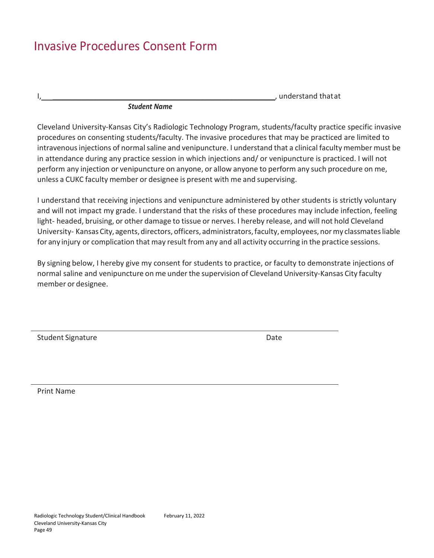# Invasive Procedures Consent Form

 $I$ ,  $\Box$ 

#### *Student Name*

Cleveland University-Kansas City's Radiologic Technology Program, students/faculty practice specific invasive procedures on consenting students/faculty. The invasive procedures that may be practiced are limited to intravenousinjections of normalsaline and venipuncture. I understand that a clinical faculty member must be in attendance during any practice session in which injections and/ or venipuncture is practiced. I will not perform any injection or venipuncture on anyone, or allow anyone to perform any such procedure on me, unless a CUKC faculty member or designee is present with me and supervising.

I understand that receiving injections and venipuncture administered by other students is strictly voluntary and will not impact my grade. I understand that the risks of these procedures may include infection, feeling light- headed, bruising, or other damage to tissue or nerves. I hereby release, and will not hold Cleveland University- Kansas City, agents, directors, officers, administrators, faculty, employees, nor my classmates liable for any injury or complication that may result from any and all activity occurring in the practice sessions.

By signing below, I hereby give my consent for students to practice, or faculty to demonstrate injections of normal saline and venipuncture on me under the supervision of Cleveland University-Kansas City faculty member or designee.

Student Signature **Date** Date of **Date** Date of **Date** Date of **Date** Date of **Date** 

Print Name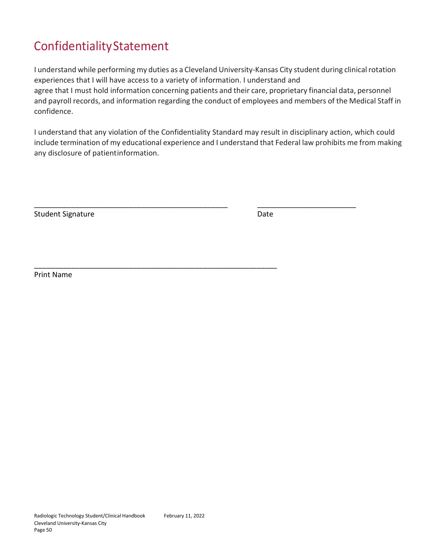# ConfidentialityStatement

I understand while performing my duties as a Cleveland University-Kansas City student during clinicalrotation experiences that I will have access to a variety of information. I understand and agree that I must hold information concerning patients and their care, proprietary financial data, personnel and payroll records, and information regarding the conduct of employees and members of the Medical Staff in confidence.

I understand that any violation of the Confidentiality Standard may result in disciplinary action, which could include termination of my educational experience and I understand that Federal law prohibits me from making any disclosure of patientinformation.

\_\_\_\_\_\_\_\_\_\_\_\_\_\_\_\_\_\_\_\_\_\_\_\_\_\_\_\_\_\_\_\_\_\_\_\_\_\_\_\_\_\_\_\_\_\_\_ \_\_\_\_\_\_\_\_\_\_\_\_\_\_\_\_\_\_\_\_\_\_\_\_

\_\_\_\_\_\_\_\_\_\_\_\_\_\_\_\_\_\_\_\_\_\_\_\_\_\_\_\_\_\_\_\_\_\_\_\_\_\_\_\_\_\_\_\_\_\_\_\_\_\_\_\_\_\_\_\_\_\_\_

Student Signature Date Date Date

Print Name